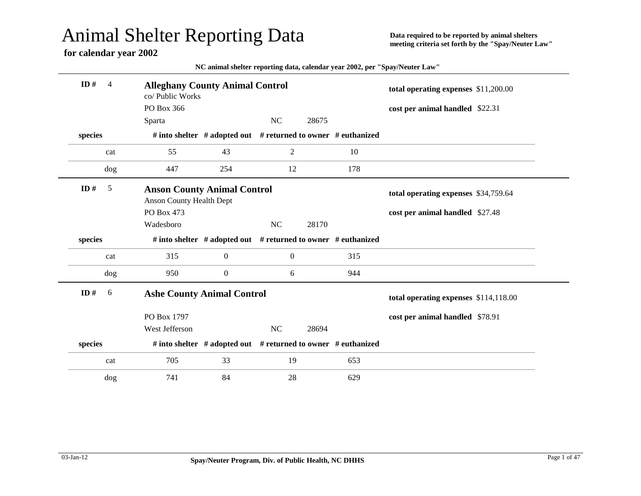## Animal Shelter Reporting Data

## **for calendar year 2002**

**Data required to be reported by animal shelters meeting criteria set forth by the "Spay/Neuter Law"**

| NC animal shelter reporting data, calendar year 2002, per "Spay/Neuter Law" |  |  |
|-----------------------------------------------------------------------------|--|--|
|-----------------------------------------------------------------------------|--|--|

| ID#<br>$\overline{4}$ | <b>Alleghany County Animal Control</b><br>co/ Public Works            |                                                               |                  |       |     | total operating expenses \$11,200.00  |  |
|-----------------------|-----------------------------------------------------------------------|---------------------------------------------------------------|------------------|-------|-----|---------------------------------------|--|
|                       | PO Box 366                                                            |                                                               |                  |       |     | cost per animal handled \$22.31       |  |
|                       | Sparta                                                                |                                                               | NC               | 28675 |     |                                       |  |
| species               |                                                                       | # into shelter # adopted out # returned to owner # euthanized |                  |       |     |                                       |  |
| cat                   | 55                                                                    | 43                                                            | $\overline{2}$   |       | 10  |                                       |  |
| dog                   | 447                                                                   | 254                                                           | 12               |       | 178 |                                       |  |
| ID#<br>5              | <b>Anson County Animal Control</b><br><b>Anson County Health Dept</b> |                                                               |                  |       |     | total operating expenses \$34,759.64  |  |
|                       | PO Box 473                                                            |                                                               |                  |       |     | cost per animal handled \$27.48       |  |
|                       | Wadesboro                                                             |                                                               | <b>NC</b>        | 28170 |     |                                       |  |
| species               |                                                                       | # into shelter # adopted out # returned to owner # euthanized |                  |       |     |                                       |  |
|                       |                                                                       |                                                               |                  |       |     |                                       |  |
| cat                   | 315                                                                   | $\boldsymbol{0}$                                              | $\boldsymbol{0}$ |       | 315 |                                       |  |
| dog                   | 950                                                                   | $\boldsymbol{0}$                                              | 6                |       | 944 |                                       |  |
| ID#<br>6              | <b>Ashe County Animal Control</b>                                     |                                                               |                  |       |     | total operating expenses \$114,118.00 |  |
|                       | PO Box 1797                                                           |                                                               |                  |       |     | cost per animal handled \$78.91       |  |
|                       | West Jefferson                                                        |                                                               | <b>NC</b>        | 28694 |     |                                       |  |
| species               |                                                                       | # into shelter # adopted out # returned to owner # euthanized |                  |       |     |                                       |  |
| cat                   | 705                                                                   | 33                                                            | 19               |       | 653 |                                       |  |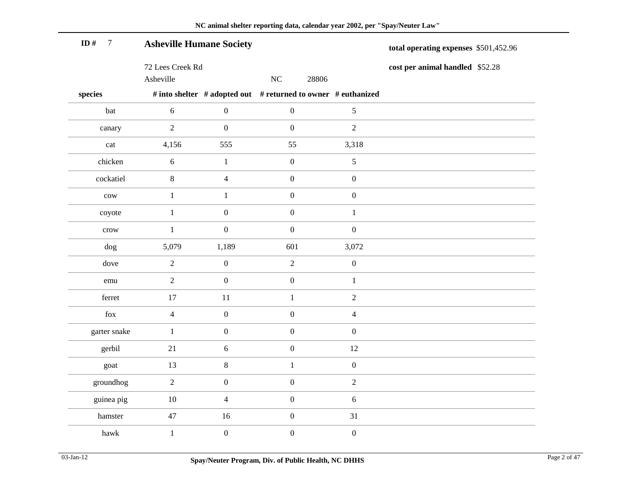| ID#<br>$\overline{7}$ | <b>Asheville Humane Society</b> |                  |                  |                                                               | total operating expenses \$501,452.96 |
|-----------------------|---------------------------------|------------------|------------------|---------------------------------------------------------------|---------------------------------------|
|                       | 72 Lees Creek Rd<br>Asheville   |                  | NC               | 28806                                                         | cost per animal handled \$52.28       |
| species               |                                 |                  |                  | # into shelter # adopted out # returned to owner # euthanized |                                       |
| bat                   | $\sqrt{6}$                      | $\boldsymbol{0}$ | $\boldsymbol{0}$ | $\sqrt{5}$                                                    |                                       |
| canary                | $\overline{2}$                  | $\boldsymbol{0}$ | $\boldsymbol{0}$ | $\overline{2}$                                                |                                       |
| cat                   | 4,156                           | 555              | 55               | 3,318                                                         |                                       |
| chicken               | $\sqrt{6}$                      | $\mathbf{1}$     | $\boldsymbol{0}$ | 5                                                             |                                       |
| cockatiel             | $\,8\,$                         | $\overline{4}$   | $\boldsymbol{0}$ | $\boldsymbol{0}$                                              |                                       |
| $_{\text{cow}}$       | $\mathbf{1}$                    | $\mathbf{1}$     | $\boldsymbol{0}$ | $\boldsymbol{0}$                                              |                                       |
| coyote                | $\mathbf{1}$                    | $\boldsymbol{0}$ | $\boldsymbol{0}$ | $\mathbf{1}$                                                  |                                       |
| crow                  | $\mathbf{1}$                    | $\boldsymbol{0}$ | $\boldsymbol{0}$ | $\boldsymbol{0}$                                              |                                       |
| dog                   | 5,079                           | 1,189            | 601              | 3,072                                                         |                                       |
| dove                  | $\overline{2}$                  | $\boldsymbol{0}$ | $\sqrt{2}$       | $\boldsymbol{0}$                                              |                                       |
| emu                   | $\overline{2}$                  | $\boldsymbol{0}$ | $\boldsymbol{0}$ | $\mathbf{1}$                                                  |                                       |
| ferret                | 17                              | 11               | $\mathbf{1}$     | $\overline{2}$                                                |                                       |
| fox                   | $\overline{4}$                  | $\boldsymbol{0}$ | $\boldsymbol{0}$ | $\overline{4}$                                                |                                       |
| garter snake          | $\mathbf{1}$                    | $\boldsymbol{0}$ | $\boldsymbol{0}$ | $\boldsymbol{0}$                                              |                                       |
| gerbil                | 21                              | $\sqrt{6}$       | $\boldsymbol{0}$ | 12                                                            |                                       |
| goat                  | 13                              | $\,8\,$          | $\mathbf{1}$     | $\boldsymbol{0}$                                              |                                       |
| groundhog             | $\overline{2}$                  | $\boldsymbol{0}$ | $\boldsymbol{0}$ | $\overline{2}$                                                |                                       |
| guinea pig            | $10\,$                          | $\overline{4}$   | $\boldsymbol{0}$ | $\sqrt{6}$                                                    |                                       |
| hamster               | 47                              | 16               | $\boldsymbol{0}$ | 31                                                            |                                       |
| hawk                  | $\mathbf{1}$                    | $\boldsymbol{0}$ | $\boldsymbol{0}$ | $\boldsymbol{0}$                                              |                                       |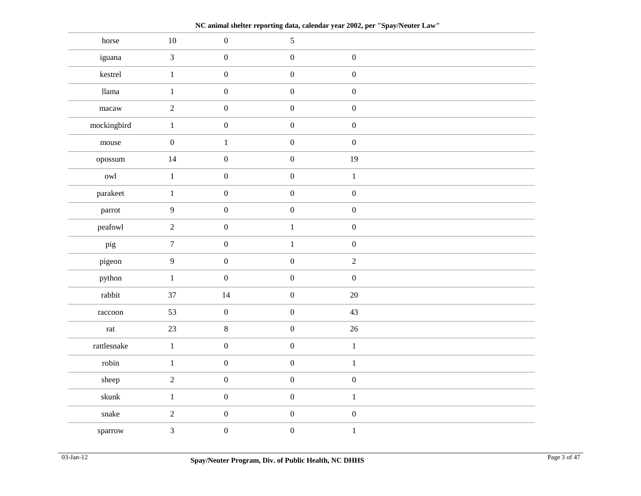**NC animal shelter reporting data, calendar year 2002, per "Spay/Neuter Law"**

| horse                | $10\,$           | $\boldsymbol{0}$ | $\mathfrak{S}$   |                  |  |
|----------------------|------------------|------------------|------------------|------------------|--|
| iguana               | $\mathfrak{Z}$   | $\boldsymbol{0}$ | $\boldsymbol{0}$ | $\boldsymbol{0}$ |  |
| kestrel              | $1\,$            | $\boldsymbol{0}$ | $\boldsymbol{0}$ | $\boldsymbol{0}$ |  |
| llama                | $\mathbf{1}$     | $\boldsymbol{0}$ | $\boldsymbol{0}$ | $\boldsymbol{0}$ |  |
| $_{\mbox{macaw}}$    | $\overline{2}$   | $\boldsymbol{0}$ | $\boldsymbol{0}$ | $\boldsymbol{0}$ |  |
| mockingbird          | $\,1$            | $\boldsymbol{0}$ | $\boldsymbol{0}$ | $\boldsymbol{0}$ |  |
| mouse                | $\boldsymbol{0}$ | $\,1\,$          | $\boldsymbol{0}$ | $\boldsymbol{0}$ |  |
| opossum              | 14               | $\boldsymbol{0}$ | $\boldsymbol{0}$ | 19               |  |
| owl                  | $1\,$            | $\boldsymbol{0}$ | $\boldsymbol{0}$ | $\,1\,$          |  |
| parakeet             | $\,1\,$          | $\boldsymbol{0}$ | $\boldsymbol{0}$ | $\boldsymbol{0}$ |  |
| parrot               | $\overline{9}$   | $\boldsymbol{0}$ | $\boldsymbol{0}$ | $\boldsymbol{0}$ |  |
| peafowl              | $\overline{c}$   | $\boldsymbol{0}$ | $\mathbf{1}$     | $\boldsymbol{0}$ |  |
| pig                  | $\overline{7}$   | $\boldsymbol{0}$ | $\mathbf{1}$     | $\boldsymbol{0}$ |  |
| pigeon               | $\overline{9}$   | $\boldsymbol{0}$ | $\boldsymbol{0}$ | $\overline{2}$   |  |
| python               | $\,1\,$          | $\boldsymbol{0}$ | $\boldsymbol{0}$ | $\boldsymbol{0}$ |  |
| rabbit               | 37               | 14               | $\boldsymbol{0}$ | $20\,$           |  |
| raccoon              | 53               | $\boldsymbol{0}$ | $\boldsymbol{0}$ | 43               |  |
| $\operatorname{rat}$ | 23               | $\,8\,$          | $\boldsymbol{0}$ | $26\,$           |  |
| rattlesnake          | $\,1$            | $\boldsymbol{0}$ | $\boldsymbol{0}$ | $\,1\,$          |  |
| robin                | $\mathbf{1}$     | $\boldsymbol{0}$ | $\boldsymbol{0}$ | $\,1\,$          |  |
| sheep                | $\overline{2}$   | $\boldsymbol{0}$ | $\boldsymbol{0}$ | $\boldsymbol{0}$ |  |
| skunk                | $\mathbf{1}$     | $\boldsymbol{0}$ | $\boldsymbol{0}$ | $\mathbf{1}$     |  |
| snake                | $\sqrt{2}$       | $\boldsymbol{0}$ | $\boldsymbol{0}$ | $\boldsymbol{0}$ |  |
| sparrow              | $\mathfrak{Z}$   | $\boldsymbol{0}$ | $\boldsymbol{0}$ | $\,1$            |  |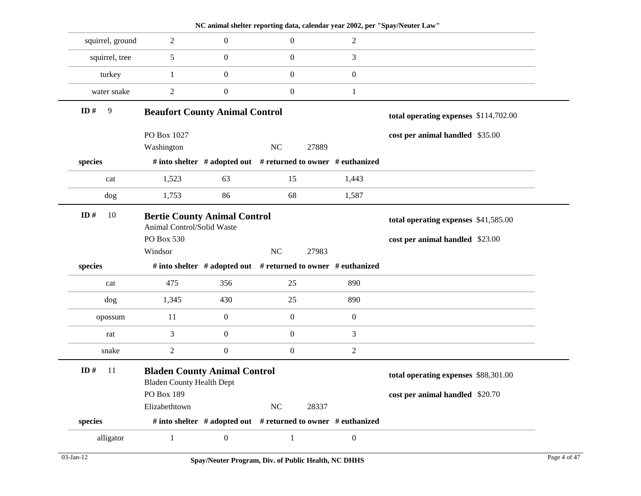|                  |                                                                         |                  |                  | NC animal shelter reporting data, calendar year 2002, per "Spay/Neuter Law" |                                       |
|------------------|-------------------------------------------------------------------------|------------------|------------------|-----------------------------------------------------------------------------|---------------------------------------|
| squirrel, ground | $\overline{2}$                                                          | $\boldsymbol{0}$ | $\boldsymbol{0}$ | $\overline{c}$                                                              |                                       |
| squirrel, tree   | 5                                                                       | $\mathbf{0}$     | $\boldsymbol{0}$ | 3                                                                           |                                       |
| turkey           | $\mathbf{1}$                                                            | $\boldsymbol{0}$ | $\boldsymbol{0}$ | $\boldsymbol{0}$                                                            |                                       |
| water snake      | $\overline{c}$                                                          | $\boldsymbol{0}$ | $\boldsymbol{0}$ | $\mathbf{1}$                                                                |                                       |
| 9<br>ID#         | <b>Beaufort County Animal Control</b>                                   |                  |                  |                                                                             | total operating expenses \$114,702.00 |
|                  | PO Box 1027<br>Washington                                               |                  | <b>NC</b>        | 27889                                                                       | cost per animal handled \$35.00       |
| species          |                                                                         |                  |                  | # into shelter # adopted out # returned to owner # euthanized               |                                       |
| cat              | 1,523                                                                   | 63               | 15               | 1,443                                                                       |                                       |
| dog              | 1,753                                                                   | 86               | 68               | 1,587                                                                       |                                       |
| ID#<br>10        | <b>Bertie County Animal Control</b><br>Animal Control/Solid Waste       |                  |                  |                                                                             | total operating expenses \$41,585.00  |
|                  | PO Box 530                                                              |                  |                  |                                                                             | cost per animal handled \$23.00       |
|                  | Windsor                                                                 |                  | <b>NC</b>        | 27983                                                                       |                                       |
| species          |                                                                         |                  |                  | # into shelter # adopted out # returned to owner # euthanized               |                                       |
| cat              | 475                                                                     | 356              | 25               | 890                                                                         |                                       |
| dog              | 1,345                                                                   | 430              | 25               | 890                                                                         |                                       |
| opossum          | 11                                                                      | $\boldsymbol{0}$ | $\boldsymbol{0}$ | $\mathbf{0}$                                                                |                                       |
| rat              | 3                                                                       | $\boldsymbol{0}$ | $\boldsymbol{0}$ | 3                                                                           |                                       |
| snake            | $\overline{c}$                                                          | $\boldsymbol{0}$ | $\boldsymbol{0}$ | $\overline{c}$                                                              |                                       |
| ID#<br>11        | <b>Bladen County Animal Control</b><br><b>Bladen County Health Dept</b> |                  |                  |                                                                             | total operating expenses \$88,301.00  |
|                  | PO Box 189                                                              |                  |                  |                                                                             | cost per animal handled \$20.70       |
|                  | Elizabethtown                                                           |                  | NC               | 28337                                                                       |                                       |
| species          |                                                                         |                  |                  | # into shelter # adopted out # returned to owner # euthanized               |                                       |
| alligator        | $\mathbf{1}$                                                            | $\boldsymbol{0}$ |                  | $\mathbf{0}$                                                                |                                       |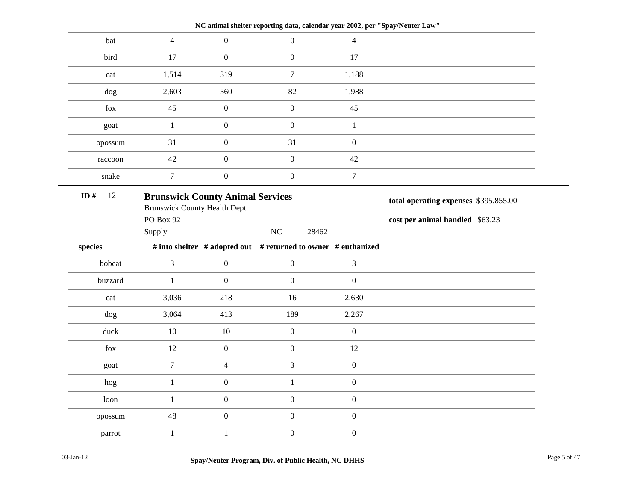|               |                                                                                |                  | NC animal shelter reporting data, calendar year 2002, per "Spay/Neuter Law" |                  |                                       |
|---------------|--------------------------------------------------------------------------------|------------------|-----------------------------------------------------------------------------|------------------|---------------------------------------|
| bat           | $\overline{4}$                                                                 | $\boldsymbol{0}$ | $\overline{0}$                                                              | $\overline{4}$   |                                       |
| bird          | 17                                                                             | $\boldsymbol{0}$ | $\mathbf{0}$                                                                | 17               |                                       |
| cat           | 1,514                                                                          | 319              | $\tau$                                                                      | 1,188            |                                       |
| dog           | 2,603                                                                          | 560              | 82                                                                          | 1,988            |                                       |
| fox           | 45                                                                             | $\boldsymbol{0}$ | $\overline{0}$                                                              | 45               |                                       |
| goat          | $\mathbf{1}$                                                                   | $\boldsymbol{0}$ | $\boldsymbol{0}$                                                            | $\mathbf{1}$     |                                       |
| opossum       | 31                                                                             | $\boldsymbol{0}$ | 31                                                                          | $\boldsymbol{0}$ |                                       |
| raccoon       | 42                                                                             | $\boldsymbol{0}$ | $\boldsymbol{0}$                                                            | 42               |                                       |
| snake         | $\overline{7}$                                                                 | $\boldsymbol{0}$ | $\boldsymbol{0}$                                                            | $\tau$           |                                       |
| ID#<br>$12\,$ | <b>Brunswick County Animal Services</b><br><b>Brunswick County Health Dept</b> |                  |                                                                             |                  | total operating expenses \$395,855.00 |
|               | <b>PO Box 92</b>                                                               |                  |                                                                             |                  | cost per animal handled \$63.23       |
|               | Supply                                                                         |                  | NC<br>28462                                                                 |                  |                                       |
| species       |                                                                                |                  | # into shelter # adopted out # returned to owner # euthanized               |                  |                                       |
| bobcat        | $\overline{3}$                                                                 | $\boldsymbol{0}$ | $\boldsymbol{0}$                                                            | $\mathfrak{Z}$   |                                       |
| buzzard       | $\mathbf{1}$                                                                   | $\boldsymbol{0}$ | $\overline{0}$                                                              | $\boldsymbol{0}$ |                                       |
| cat           | 3,036                                                                          | 218              | 16                                                                          | 2,630            |                                       |
| dog           | 3,064                                                                          | 413              | 189                                                                         | 2,267            |                                       |
| duck          | 10                                                                             | 10               | $\boldsymbol{0}$                                                            | $\boldsymbol{0}$ |                                       |
| fox           | 12                                                                             | $\boldsymbol{0}$ | $\boldsymbol{0}$                                                            | 12               |                                       |
| goat          | $\overline{7}$                                                                 | $\overline{4}$   | 3                                                                           | $\boldsymbol{0}$ |                                       |
| hog           | $\mathbf{1}$                                                                   | $\boldsymbol{0}$ | $\mathbf{1}$                                                                | $\boldsymbol{0}$ |                                       |
| loon          | $\mathbf{1}$                                                                   | $\boldsymbol{0}$ | $\boldsymbol{0}$                                                            | $\boldsymbol{0}$ |                                       |
| opossum       | 48                                                                             | $\boldsymbol{0}$ | $\boldsymbol{0}$                                                            | $\boldsymbol{0}$ |                                       |
|               |                                                                                |                  |                                                                             |                  |                                       |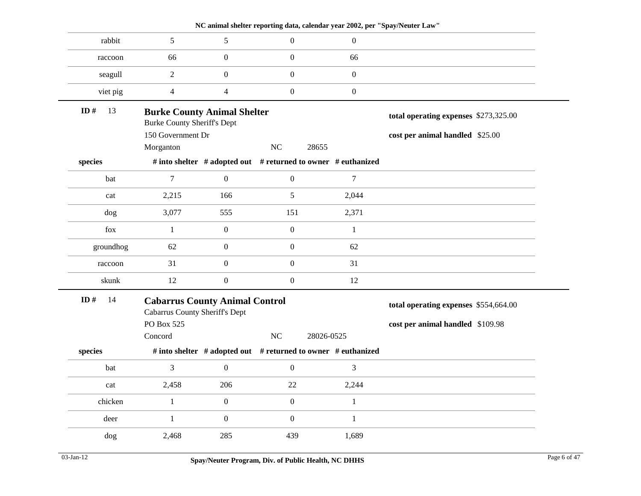| rabbit<br>5<br>5<br>$\boldsymbol{0}$<br>$\boldsymbol{0}$                                                                          |  |
|-----------------------------------------------------------------------------------------------------------------------------------|--|
|                                                                                                                                   |  |
| $\boldsymbol{0}$<br>$\boldsymbol{0}$<br>66<br>66<br>raccoon                                                                       |  |
| $\boldsymbol{0}$<br>$\boldsymbol{0}$<br>$\boldsymbol{0}$<br>$\overline{2}$<br>seagull                                             |  |
| $\boldsymbol{0}$<br>$\boldsymbol{0}$<br>viet pig<br>$\overline{4}$<br>$\overline{4}$                                              |  |
| ID $#$<br>13<br><b>Burke County Animal Shelter</b><br>total operating expenses \$273,325.00<br><b>Burke County Sheriff's Dept</b> |  |
| 150 Government Dr<br>cost per animal handled \$25.00                                                                              |  |
| NC<br>Morganton<br>28655                                                                                                          |  |
| # into shelter # adopted out # returned to owner # euthanized<br>species                                                          |  |
|                                                                                                                                   |  |
| bat<br>$\tau$<br>$\boldsymbol{0}$<br>$\boldsymbol{0}$<br>7                                                                        |  |
| 5<br>2,044<br>2,215<br>166<br>cat                                                                                                 |  |
| 3,077<br>555<br>151<br>2,371<br>dog                                                                                               |  |
| $\boldsymbol{0}$<br>$\boldsymbol{0}$<br>fox<br>$\mathbf{1}$<br>$\mathbf{1}$                                                       |  |
| groundhog<br>62<br>$\boldsymbol{0}$<br>$\boldsymbol{0}$<br>62                                                                     |  |
|                                                                                                                                   |  |
| $\boldsymbol{0}$<br>$\boldsymbol{0}$<br>31<br>31<br>raccoon                                                                       |  |
| $\boldsymbol{0}$<br>$\boldsymbol{0}$<br>12<br>skunk<br>12                                                                         |  |
| ID#<br>14<br><b>Cabarrus County Animal Control</b><br>total operating expenses \$554,664.00                                       |  |
| <b>Cabarrus County Sheriff's Dept</b><br>PO Box 525                                                                               |  |
| cost per animal handled \$109.98<br>NC<br>Concord<br>28026-0525                                                                   |  |
| # into shelter # adopted out # returned to owner # euthanized<br>species                                                          |  |
| 3<br>$\mathbf{0}$<br>$\boldsymbol{0}$<br>3<br>bat                                                                                 |  |
| 2,458<br>206<br>22<br>2,244<br>cat                                                                                                |  |
| $\boldsymbol{0}$<br>chicken<br>$\boldsymbol{0}$<br>$\mathbf{1}$<br>$\mathbf{1}$                                                   |  |
| $\boldsymbol{0}$<br>$\boldsymbol{0}$<br>$\mathbf{1}$<br>deer<br>$\mathbf{1}$                                                      |  |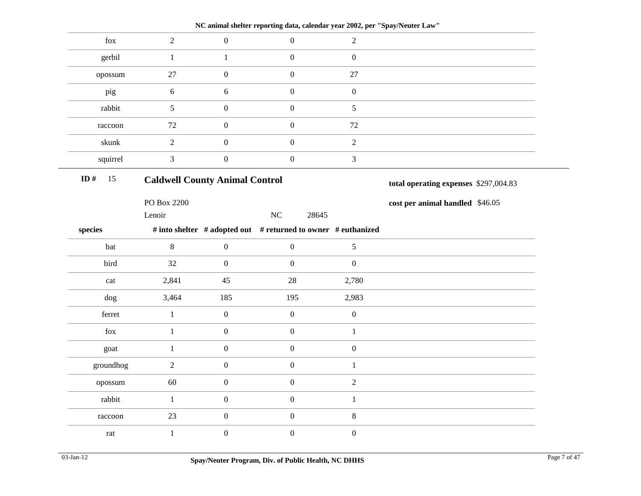| $\overline{2}$ | $\boldsymbol{0}$ | $\mathbf{0}$                       | $\overline{2}$                        |                                                                                                                                              |
|----------------|------------------|------------------------------------|---------------------------------------|----------------------------------------------------------------------------------------------------------------------------------------------|
| $\mathbf{1}$   | $\mathbf{1}$     | $\overline{0}$                     | $\boldsymbol{0}$                      |                                                                                                                                              |
| 27             | $\overline{0}$   | $\mathbf{0}$                       | $27\,$                                |                                                                                                                                              |
| 6              | $6\,$            | $\mathbf{0}$                       | $\boldsymbol{0}$                      |                                                                                                                                              |
| 5              | $\boldsymbol{0}$ | $\mathbf{0}$                       | $\mathfrak{S}$                        |                                                                                                                                              |
| 72             | $\boldsymbol{0}$ | $\boldsymbol{0}$                   | 72                                    |                                                                                                                                              |
| $\sqrt{2}$     | $\boldsymbol{0}$ | $\boldsymbol{0}$                   | $\sqrt{2}$                            |                                                                                                                                              |
| 3              | $\boldsymbol{0}$ | $\boldsymbol{0}$                   | $\mathfrak{Z}$                        |                                                                                                                                              |
|                |                  |                                    |                                       | total operating expenses \$297,004.83                                                                                                        |
| PO Box 2200    |                  |                                    |                                       | cost per animal handled \$46.05                                                                                                              |
| Lenoir         |                  | NC<br>28645                        |                                       |                                                                                                                                              |
|                |                  |                                    |                                       |                                                                                                                                              |
| $\,8\,$        | $\boldsymbol{0}$ | $\overline{0}$                     | 5                                     |                                                                                                                                              |
| 32             | $\mathbf{0}$     | $\mathbf{0}$                       | $\boldsymbol{0}$                      |                                                                                                                                              |
| 2,841          | 45               | 28                                 | 2,780                                 |                                                                                                                                              |
| 3,464          | 185              | 195                                | 2,983                                 |                                                                                                                                              |
| $\mathbf{1}$   | $\boldsymbol{0}$ | $\boldsymbol{0}$                   | $\boldsymbol{0}$                      |                                                                                                                                              |
| $\mathbf{1}$   | $\boldsymbol{0}$ | $\boldsymbol{0}$                   | $\mathbf{1}$                          |                                                                                                                                              |
| $\mathbf{1}$   | $\boldsymbol{0}$ | $\boldsymbol{0}$                   | $\boldsymbol{0}$                      |                                                                                                                                              |
|                |                  | $\mathbf{0}$                       | $\mathbf{1}$                          |                                                                                                                                              |
|                |                  |                                    |                                       |                                                                                                                                              |
| 60             | $\boldsymbol{0}$ | $\mathbf{0}$                       | $\sqrt{2}$                            |                                                                                                                                              |
| $\mathbf{1}$   | $\boldsymbol{0}$ | $\mathbf{0}$                       | $\mathbf{1}$                          |                                                                                                                                              |
| 23             | $\boldsymbol{0}$ | $\mathbf{0}$                       | $\,8\,$                               |                                                                                                                                              |
|                |                  | $\overline{c}$<br>$\boldsymbol{0}$ | <b>Caldwell County Animal Control</b> | NC animal shelter reporting data, calendar year 2002, per "Spay/Neuter Law"<br># into shelter # adopted out # returned to owner # euthanized |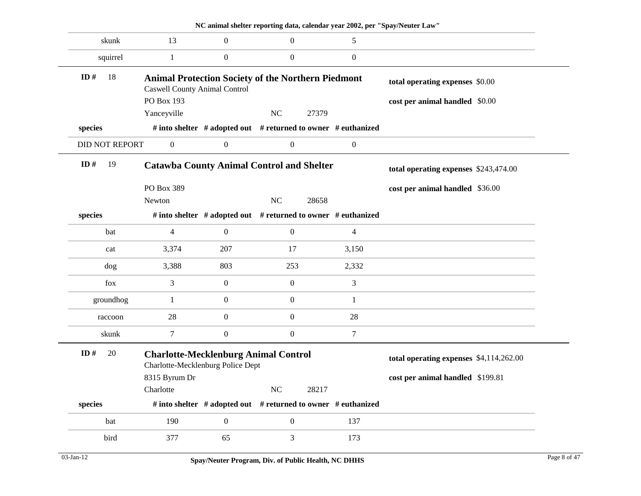|                       |                                                    |                  | NC animal shelter reporting data, calendar year 2002, per "Spay/Neuter Law" |                  |                                         |  |
|-----------------------|----------------------------------------------------|------------------|-----------------------------------------------------------------------------|------------------|-----------------------------------------|--|
| skunk                 | 13                                                 | $\boldsymbol{0}$ | $\boldsymbol{0}$                                                            | 5                |                                         |  |
| squirrel              | 1                                                  | $\theta$         | $\boldsymbol{0}$                                                            | $\mathbf{0}$     |                                         |  |
| 18<br>ID#             |                                                    |                  | <b>Animal Protection Society of the Northern Piedmont</b>                   |                  | total operating expenses \$0.00         |  |
|                       | <b>Caswell County Animal Control</b><br>PO Box 193 |                  |                                                                             |                  |                                         |  |
|                       | Yanceyville                                        |                  | NC<br>27379                                                                 |                  | cost per animal handled \$0.00          |  |
| species               |                                                    |                  | # into shelter # adopted out # returned to owner # euthanized               |                  |                                         |  |
|                       |                                                    |                  |                                                                             |                  |                                         |  |
| <b>DID NOT REPORT</b> | $\boldsymbol{0}$                                   | $\boldsymbol{0}$ | $\boldsymbol{0}$                                                            | $\boldsymbol{0}$ |                                         |  |
| ID $#$<br>19          |                                                    |                  | <b>Catawba County Animal Control and Shelter</b>                            |                  | total operating expenses \$243,474.00   |  |
|                       | PO Box 389                                         |                  |                                                                             |                  | cost per animal handled \$36.00         |  |
|                       | Newton                                             |                  | NC<br>28658                                                                 |                  |                                         |  |
| species               |                                                    |                  | # into shelter # adopted out # returned to owner # euthanized               |                  |                                         |  |
| bat                   | 4                                                  | $\theta$         | $\boldsymbol{0}$                                                            | $\overline{4}$   |                                         |  |
| cat                   | 3,374                                              | 207              | 17                                                                          | 3,150            |                                         |  |
| dog                   | 3,388                                              | 803              | 253                                                                         | 2,332            |                                         |  |
| fox                   | 3                                                  | $\boldsymbol{0}$ | $\boldsymbol{0}$                                                            | 3                |                                         |  |
| groundhog             | 1                                                  | $\boldsymbol{0}$ | $\boldsymbol{0}$                                                            | 1                |                                         |  |
| raccoon               | 28                                                 | $\boldsymbol{0}$ | $\boldsymbol{0}$                                                            | 28               |                                         |  |
| skunk                 | 7                                                  | $\boldsymbol{0}$ | $\boldsymbol{0}$                                                            | $\tau$           |                                         |  |
| ID#<br>20             | Charlotte-Mecklenburg Police Dept                  |                  | <b>Charlotte-Mecklenburg Animal Control</b>                                 |                  | total operating expenses \$4,114,262.00 |  |
|                       | 8315 Byrum Dr                                      |                  |                                                                             |                  | cost per animal handled \$199.81        |  |
|                       | Charlotte                                          |                  | $\rm NC$<br>28217                                                           |                  |                                         |  |
| species               |                                                    |                  | # into shelter # adopted out # returned to owner # euthanized               |                  |                                         |  |
| bat                   | 190                                                | $\boldsymbol{0}$ | $\boldsymbol{0}$                                                            | 137              |                                         |  |
| bird                  | 377                                                | 65               | 3                                                                           | 173              |                                         |  |
|                       |                                                    |                  |                                                                             |                  |                                         |  |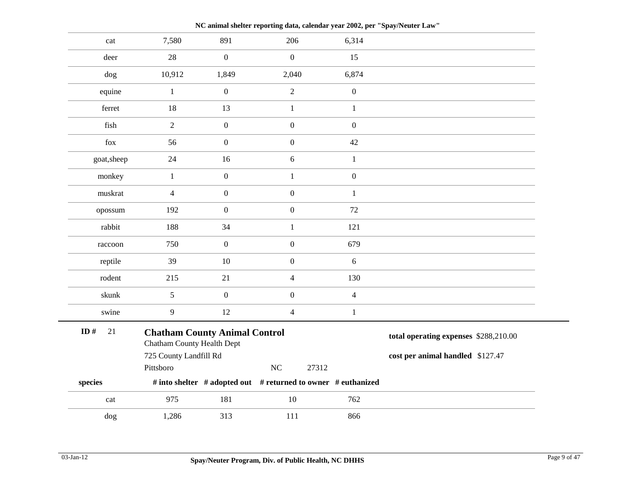cat 7,580 891 206 6,314 deer 28 0 0 15 dog 10,912 1,849 2,040 6,874 equine  $1$  0 2 0 ferret 18 13 1 1 fish  $2$  0 0 0 fox  $56$  0 0 42 goat, sheep 24 16 6 1 monkey 1 0 1 0 muskrat 4 0 0 1 opossum 192 0 0 72 rabbit 188 34 1 121 raccoon 750 0 0 679 reptile 39 10 0 6 rodent 215 21 4 130 skunk 5 0 0 4 swine 9 12 4 1 **Chatham County Animal Control** Chatham County Health Dept 725 County Landfill Rd Pittsboro NC 27312 **species # into shelter # adopted out # returned to owner # euthanized total operating expenses** \$288,210.00 **cost per animal handled** \$127.47 **ID #** 21 cat 975 181 10 762 dog 1,286 313 111 866

**NC animal shelter reporting data, calendar year 2002, per "Spay/Neuter Law"**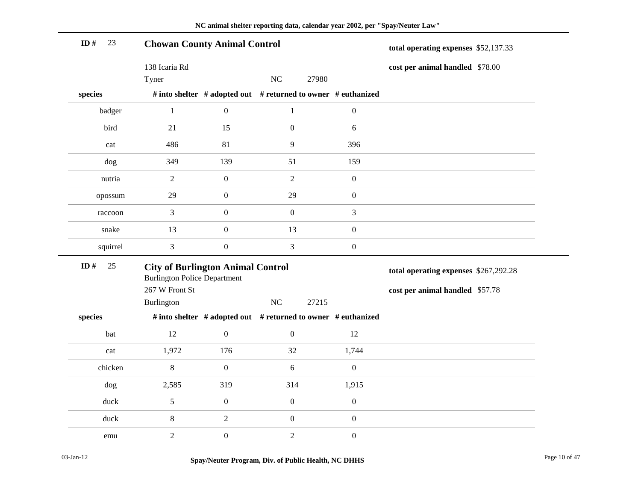| ID#<br>23 | <b>Chowan County Animal Control</b>                                             |                  |                                                               |                  | total operating expenses \$52,137.33  |  |
|-----------|---------------------------------------------------------------------------------|------------------|---------------------------------------------------------------|------------------|---------------------------------------|--|
|           | 138 Icaria Rd                                                                   |                  |                                                               |                  | cost per animal handled \$78.00       |  |
|           | Tyner                                                                           |                  | NC<br>27980                                                   |                  |                                       |  |
| species   |                                                                                 |                  | # into shelter # adopted out # returned to owner # euthanized |                  |                                       |  |
| badger    | $\mathbf{1}$                                                                    | $\boldsymbol{0}$ | $\mathbf{1}$                                                  | $\boldsymbol{0}$ |                                       |  |
| bird      | 21                                                                              | 15               | $\boldsymbol{0}$                                              | $\sqrt{6}$       |                                       |  |
| cat       | 486                                                                             | 81               | 9                                                             | 396              |                                       |  |
| dog       | 349                                                                             | 139              | 51                                                            | 159              |                                       |  |
| nutria    | $\sqrt{2}$                                                                      | $\boldsymbol{0}$ | $\overline{2}$                                                | $\boldsymbol{0}$ |                                       |  |
| opossum   | 29                                                                              | $\boldsymbol{0}$ | 29                                                            | $\boldsymbol{0}$ |                                       |  |
| raccoon   | 3                                                                               | $\boldsymbol{0}$ | $\boldsymbol{0}$                                              | $\mathfrak{Z}$   |                                       |  |
| snake     | 13                                                                              | $\boldsymbol{0}$ | 13                                                            | $\boldsymbol{0}$ |                                       |  |
| squirrel  | 3                                                                               | $\boldsymbol{0}$ | $\mathfrak{Z}$                                                | $\boldsymbol{0}$ |                                       |  |
| ID#<br>25 | <b>City of Burlington Animal Control</b><br><b>Burlington Police Department</b> |                  |                                                               |                  | total operating expenses \$267,292.28 |  |
|           | 267 W Front St                                                                  |                  |                                                               |                  | cost per animal handled \$57.78       |  |
|           | Burlington                                                                      |                  | $\rm NC$<br>27215                                             |                  |                                       |  |
| species   |                                                                                 |                  | # into shelter # adopted out # returned to owner # euthanized |                  |                                       |  |
| bat       | 12                                                                              | $\boldsymbol{0}$ | $\boldsymbol{0}$                                              | 12               |                                       |  |
| cat       | 1,972                                                                           | 176              | 32                                                            | 1,744            |                                       |  |
| chicken   | $8\,$                                                                           | $\boldsymbol{0}$ | 6                                                             | $\boldsymbol{0}$ |                                       |  |
| dog       | 2,585                                                                           | 319              | 314                                                           | 1,915            |                                       |  |
| duck      | $5\,$                                                                           | $\boldsymbol{0}$ | $\boldsymbol{0}$                                              | $\boldsymbol{0}$ |                                       |  |
| duck      | $8\,$                                                                           | $\sqrt{2}$       | $\boldsymbol{0}$                                              | $\boldsymbol{0}$ |                                       |  |
| emu       | $\overline{c}$                                                                  | $\boldsymbol{0}$ | $\sqrt{2}$                                                    | $\boldsymbol{0}$ |                                       |  |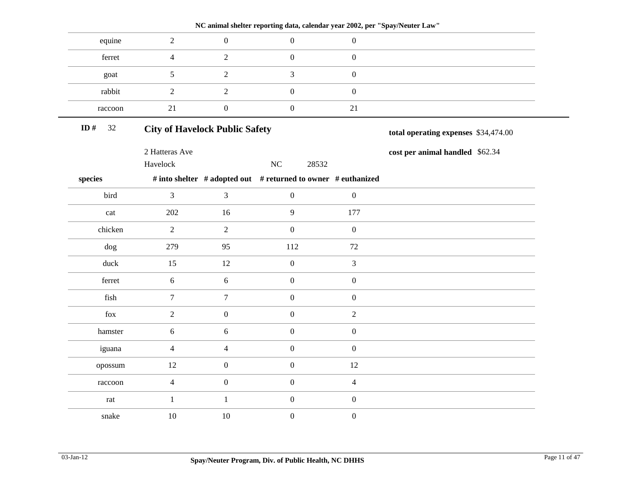|                                                                   |                                       |                  | INC annual shenet Teporting data, calendar year 2002, per Spay/Neuter Law |                  |                                      |
|-------------------------------------------------------------------|---------------------------------------|------------------|---------------------------------------------------------------------------|------------------|--------------------------------------|
| equine                                                            | $\overline{2}$                        | $\boldsymbol{0}$ | $\mathbf{0}$                                                              | $\boldsymbol{0}$ |                                      |
| ferret                                                            | $\overline{4}$                        | $\overline{2}$   | $\overline{0}$                                                            | $\boldsymbol{0}$ |                                      |
| goat                                                              | 5                                     | $\overline{2}$   | $\overline{3}$                                                            | $\boldsymbol{0}$ |                                      |
| rabbit                                                            | $\overline{2}$                        | $\overline{2}$   | $\overline{0}$                                                            | $\boldsymbol{0}$ |                                      |
| raccoon                                                           | 21                                    | $\boldsymbol{0}$ | $\boldsymbol{0}$                                                          | $21\,$           |                                      |
| ID#<br>$32\,$                                                     | <b>City of Havelock Public Safety</b> |                  |                                                                           |                  | total operating expenses \$34,474.00 |
|                                                                   | 2 Hatteras Ave                        |                  |                                                                           |                  | cost per animal handled \$62.34      |
|                                                                   | Havelock                              |                  | $\rm NC$<br>28532                                                         |                  |                                      |
| species                                                           |                                       |                  | # into shelter # adopted out # returned to owner # euthanized             |                  |                                      |
| bird                                                              | $\overline{3}$                        | 3                | $\overline{0}$                                                            | $\boldsymbol{0}$ |                                      |
| $\operatorname*{cat}% \left( b\right) \equiv\operatorname*{cat}b$ | 202                                   | 16               | 9                                                                         | 177              |                                      |
| chicken                                                           | $\overline{2}$                        | $\overline{2}$   | $\overline{0}$                                                            | $\boldsymbol{0}$ |                                      |
| $\log$                                                            | 279                                   | 95               | 112                                                                       | 72               |                                      |
| duck                                                              | 15                                    | 12               | $\mathbf{0}$                                                              | $\mathfrak{Z}$   |                                      |
| ferret                                                            | 6                                     | $6\,$            | $\overline{0}$                                                            | $\boldsymbol{0}$ |                                      |
| fish                                                              | $\overline{7}$                        | $\overline{7}$   | $\mathbf{0}$                                                              | $\boldsymbol{0}$ |                                      |
| fox                                                               | $\overline{2}$                        | $\boldsymbol{0}$ | $\mathbf{0}$                                                              | $\sqrt{2}$       |                                      |
| hamster                                                           | $\boldsymbol{6}$                      | 6                | $\overline{0}$                                                            | $\boldsymbol{0}$ |                                      |
| iguana                                                            | $\overline{4}$                        | $\overline{4}$   | $\overline{0}$                                                            | $\boldsymbol{0}$ |                                      |
| opossum                                                           | 12                                    | $\boldsymbol{0}$ | $\overline{0}$                                                            | 12               |                                      |
| raccoon                                                           | $\overline{4}$                        | $\boldsymbol{0}$ | $\overline{0}$                                                            | $\overline{4}$   |                                      |
| $\ensuremath{\text{rat}}$                                         | $\mathbf{1}$                          | $\mathbf{1}$     | $\mathbf{0}$                                                              | $\boldsymbol{0}$ |                                      |
| snake                                                             | 10                                    | $10\,$           | $\boldsymbol{0}$                                                          | $\boldsymbol{0}$ |                                      |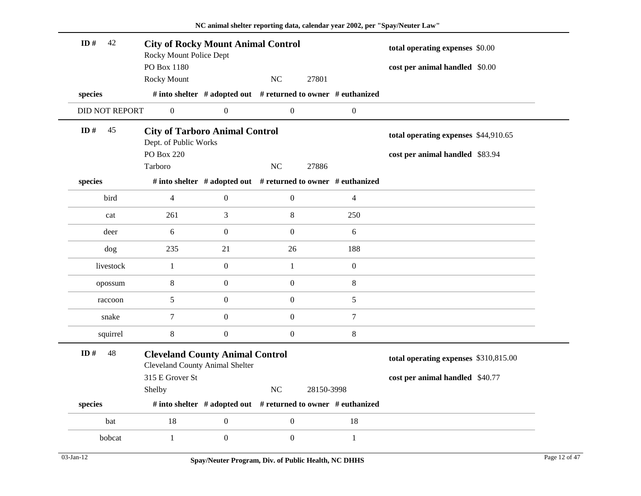| ID#<br>42             | <b>City of Rocky Mount Animal Control</b><br>Rocky Mount Police Dept             |                  |                  |                                                               | total operating expenses \$0.00       |
|-----------------------|----------------------------------------------------------------------------------|------------------|------------------|---------------------------------------------------------------|---------------------------------------|
|                       | PO Box 1180                                                                      |                  |                  |                                                               | cost per animal handled \$0.00        |
|                       | <b>Rocky Mount</b>                                                               |                  | NC               | 27801                                                         |                                       |
| species               |                                                                                  |                  |                  | # into shelter # adopted out # returned to owner # euthanized |                                       |
| <b>DID NOT REPORT</b> | $\boldsymbol{0}$                                                                 | $\boldsymbol{0}$ | $\overline{0}$   | $\boldsymbol{0}$                                              |                                       |
| ID $#$<br>45          | <b>City of Tarboro Animal Control</b><br>Dept. of Public Works                   |                  |                  |                                                               | total operating expenses \$44,910.65  |
|                       | <b>PO Box 220</b>                                                                |                  |                  |                                                               | cost per animal handled \$83.94       |
|                       | Tarboro                                                                          |                  | NC               | 27886                                                         |                                       |
| species               |                                                                                  |                  |                  | # into shelter # adopted out # returned to owner # euthanized |                                       |
| bird                  | $\overline{4}$                                                                   | $\boldsymbol{0}$ | $\overline{0}$   | $\overline{4}$                                                |                                       |
| cat                   | 261                                                                              | 3                | $\,8\,$          | 250                                                           |                                       |
| deer                  | 6                                                                                | $\boldsymbol{0}$ | $\boldsymbol{0}$ | 6                                                             |                                       |
| dog                   | 235                                                                              | 21               | 26               | 188                                                           |                                       |
| livestock             | $\mathbf{1}$                                                                     | $\boldsymbol{0}$ | $\mathbf{1}$     | $\boldsymbol{0}$                                              |                                       |
| opossum               | $\,8$                                                                            | $\boldsymbol{0}$ | $\boldsymbol{0}$ | $\,8\,$                                                       |                                       |
| raccoon               | 5                                                                                | $\boldsymbol{0}$ | $\mathbf{0}$     | $\sqrt{5}$                                                    |                                       |
| snake                 | $\tau$                                                                           | $\boldsymbol{0}$ | $\mathbf{0}$     | $\tau$                                                        |                                       |
| squirrel              | $\,8\,$                                                                          | $\boldsymbol{0}$ | $\boldsymbol{0}$ | $\,8\,$                                                       |                                       |
| ID#<br>48             | <b>Cleveland County Animal Control</b><br><b>Cleveland County Animal Shelter</b> |                  |                  |                                                               | total operating expenses \$310,815.00 |
|                       | 315 E Grover St                                                                  |                  |                  |                                                               | cost per animal handled \$40.77       |
|                       | Shelby                                                                           |                  | NC               | 28150-3998                                                    |                                       |
| species               |                                                                                  |                  |                  | # into shelter # adopted out # returned to owner # euthanized |                                       |
| bat                   | 18                                                                               | $\boldsymbol{0}$ | $\boldsymbol{0}$ | 18                                                            |                                       |
| bobcat                | $\mathbf{1}$                                                                     | $\boldsymbol{0}$ | $\boldsymbol{0}$ | $\mathbf{1}$                                                  |                                       |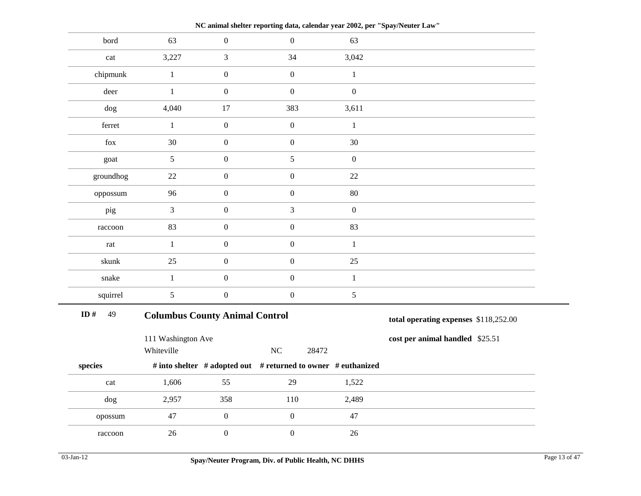| bord      |                                  |                  |                                       |                                                               |                                 |  |  |
|-----------|----------------------------------|------------------|---------------------------------------|---------------------------------------------------------------|---------------------------------|--|--|
|           | 63                               | $\boldsymbol{0}$ | $\boldsymbol{0}$                      | 63                                                            |                                 |  |  |
| cat       | 3,227                            | 3                | 34                                    | 3,042                                                         |                                 |  |  |
| chipmunk  | $\mathbf{1}$                     | $\boldsymbol{0}$ | $\boldsymbol{0}$                      | $1\,$                                                         |                                 |  |  |
| deer      | $\mathbf{1}$                     | $\boldsymbol{0}$ | $\boldsymbol{0}$                      | $\boldsymbol{0}$                                              |                                 |  |  |
| dog       | 4,040                            | 17               | 383                                   | 3,611                                                         |                                 |  |  |
| ferret    | $\mathbf{1}$                     | $\boldsymbol{0}$ | $\boldsymbol{0}$                      | $\mathbf 1$                                                   |                                 |  |  |
| fox       | 30                               | $\boldsymbol{0}$ | $\boldsymbol{0}$                      | 30                                                            |                                 |  |  |
| goat      | $\mathfrak{S}$                   | $\boldsymbol{0}$ | $\sqrt{5}$                            | $\boldsymbol{0}$                                              |                                 |  |  |
| groundhog | $22\,$                           | $\boldsymbol{0}$ | $\boldsymbol{0}$                      | 22                                                            |                                 |  |  |
| oppossum  | 96                               | $\boldsymbol{0}$ | $\boldsymbol{0}$                      | 80                                                            |                                 |  |  |
| pig       | $\overline{3}$                   | $\boldsymbol{0}$ | $\ensuremath{\mathfrak{Z}}$           | $\boldsymbol{0}$                                              |                                 |  |  |
| raccoon   | 83                               | $\boldsymbol{0}$ | $\boldsymbol{0}$                      | 83                                                            |                                 |  |  |
| rat       | $\mathbf{1}$                     | $\boldsymbol{0}$ | $\boldsymbol{0}$                      | $\mathbf{1}$                                                  |                                 |  |  |
| skunk     | 25                               | $\boldsymbol{0}$ | $\boldsymbol{0}$                      | $25\,$                                                        |                                 |  |  |
| snake     | $\mathbf{1}$                     | $\boldsymbol{0}$ | $\boldsymbol{0}$                      | $\mathbf{1}$                                                  |                                 |  |  |
| squirrel  | 5                                | $\boldsymbol{0}$ | $\boldsymbol{0}$                      | 5                                                             |                                 |  |  |
| ID#<br>49 |                                  |                  | <b>Columbus County Animal Control</b> |                                                               |                                 |  |  |
|           |                                  |                  |                                       |                                                               |                                 |  |  |
|           | 111 Washington Ave<br>Whiteville |                  | NC                                    | 28472                                                         | cost per animal handled \$25.51 |  |  |
| species   |                                  |                  |                                       | # into shelter # adopted out # returned to owner # euthanized |                                 |  |  |
| cat       | 1,606                            | 55               | 29                                    | 1,522                                                         |                                 |  |  |
| dog       | 2,957                            | 358              | 110                                   | 2,489                                                         |                                 |  |  |
| opossum   | 47                               | $\boldsymbol{0}$ | $\boldsymbol{0}$                      | 47                                                            |                                 |  |  |

**NC animal shelter reporting data, calendar year 2002, per "Spay/Neuter Law"**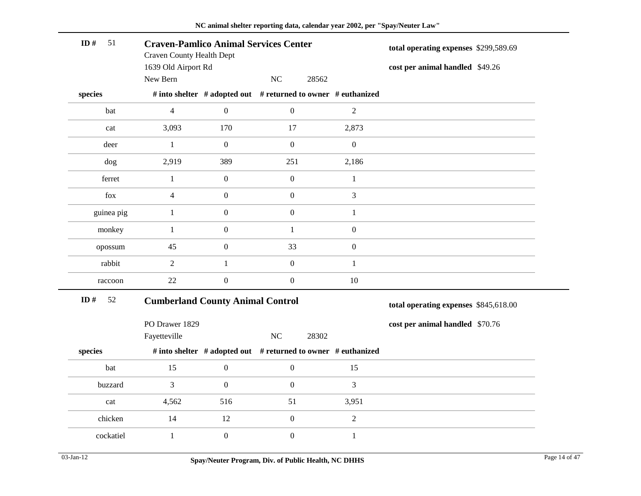| 51<br>ID $#$ | <b>Craven-Pamlico Animal Services Center</b><br><b>Craven County Health Dept</b><br>1639 Old Airport Rd |                  | total operating expenses \$299,589.69<br>cost per animal handled \$49.26 |                  |                                       |
|--------------|---------------------------------------------------------------------------------------------------------|------------------|--------------------------------------------------------------------------|------------------|---------------------------------------|
|              | New Bern                                                                                                |                  | NC<br>28562                                                              |                  |                                       |
| species      |                                                                                                         |                  | # into shelter # adopted out # returned to owner # euthanized            |                  |                                       |
| bat          | $\overline{4}$                                                                                          | $\boldsymbol{0}$ | $\boldsymbol{0}$                                                         | 2                |                                       |
| cat          | 3,093                                                                                                   | 170              | 17                                                                       | 2,873            |                                       |
| deer         | $\mathbf{1}$                                                                                            | $\boldsymbol{0}$ | $\boldsymbol{0}$                                                         | $\boldsymbol{0}$ |                                       |
| dog          | 2,919                                                                                                   | 389              | 251                                                                      | 2,186            |                                       |
| ferret       | $\mathbf{1}$                                                                                            | $\boldsymbol{0}$ | $\boldsymbol{0}$                                                         | $\mathbf{1}$     |                                       |
| fox          | $\overline{4}$                                                                                          | $\boldsymbol{0}$ | $\boldsymbol{0}$                                                         | $\overline{3}$   |                                       |
| guinea pig   | $\mathbf{1}$                                                                                            | $\boldsymbol{0}$ | $\boldsymbol{0}$                                                         | $\mathbf{1}$     |                                       |
| monkey       | $\mathbf{1}$                                                                                            | $\boldsymbol{0}$ | $\mathbf{1}$                                                             | $\boldsymbol{0}$ |                                       |
| opossum      | 45                                                                                                      | $\boldsymbol{0}$ | 33                                                                       | $\boldsymbol{0}$ |                                       |
| rabbit       | $\overline{2}$                                                                                          | $\mathbf{1}$     | $\boldsymbol{0}$                                                         | $\mathbf{1}$     |                                       |
| raccoon      | 22                                                                                                      | $\boldsymbol{0}$ | $\boldsymbol{0}$                                                         | 10               |                                       |
| ID#<br>52    | <b>Cumberland County Animal Control</b>                                                                 |                  |                                                                          |                  | total operating expenses \$845,618.00 |
|              | PO Drawer 1829<br>Fayetteville                                                                          |                  | NC<br>28302                                                              |                  | cost per animal handled \$70.76       |
| species      |                                                                                                         |                  | # into shelter # adopted out # returned to owner # euthanized            |                  |                                       |
|              |                                                                                                         |                  |                                                                          |                  |                                       |
| bat          | 15                                                                                                      | $\boldsymbol{0}$ | $\boldsymbol{0}$                                                         | 15               |                                       |
| buzzard      | 3                                                                                                       | $\boldsymbol{0}$ | $\boldsymbol{0}$                                                         | $\mathfrak{Z}$   |                                       |
| cat          | 4,562                                                                                                   | 516              | 51                                                                       | 3,951            |                                       |
| chicken      | 14                                                                                                      | 12               | $\boldsymbol{0}$                                                         | $\overline{2}$   |                                       |
| cockatiel    | $\mathbf{1}$                                                                                            | $\boldsymbol{0}$ | $\boldsymbol{0}$                                                         | $\,1$            |                                       |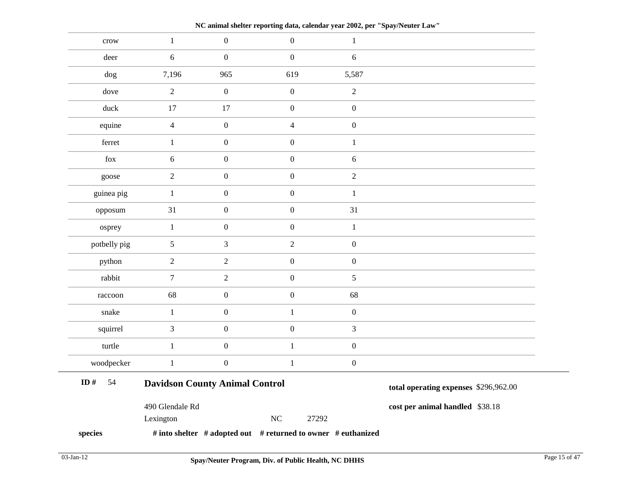crow  $1$  0 0 1 deer 6 0 0 0 6 dog 7,196 965 619 5,587 dove 2 0 0 2 duck 17 17 0 0 equine  $4$  0  $4$  0 ferret  $1$  0 0 1 fox  $6$  0 0 6 goose 2 0 0 2 guinea pig  $1 \t 0 \t 0 \t 1$ opposum 31 0 0 31 osprey  $1$  0 0 1 potbelly pig 5 3 2 0 python  $2$  2 0 0 rabbit 7 2 0 5  $raccoon$  68 0 0 68 snake  $1$  0 1 0 squirrel  $3$  0 0 3 turtle 1 0 1 0 woodpecker 1 0 1 0 **Davidson County Animal Control** 490 Glendale Rd Lexington NC 27292 **species # into shelter # adopted out # returned to owner # euthanized total operating expenses** \$296,962.00 **cost per animal handled** \$38.18 **ID #** 54

**NC animal shelter reporting data, calendar year 2002, per "Spay/Neuter Law"**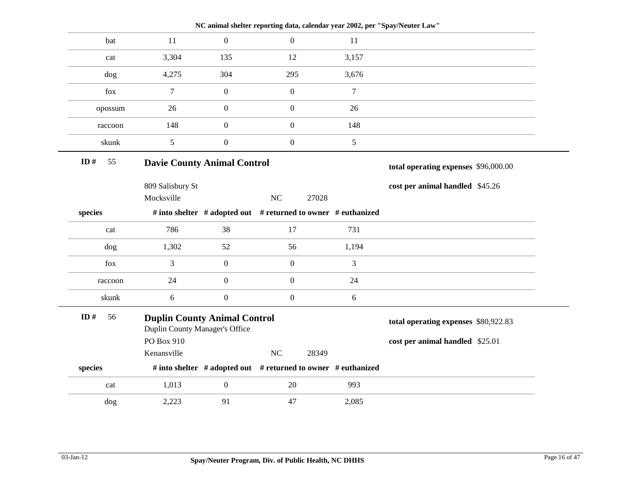| $\overline{0}$<br>11<br>$\Omega$<br>bat<br>11<br>12<br>3,304<br>135<br>3,157<br>cat<br>4,275<br>304<br>295<br>3,676<br>dog<br>$\tau$<br>$\mathbf{0}$<br>$\boldsymbol{0}$<br>$\tau$<br>fox<br>$\boldsymbol{0}$<br>$\boldsymbol{0}$<br>26<br>26<br>opossum<br>148<br>$\boldsymbol{0}$<br>$\overline{0}$<br>148<br>raccoon<br>5<br>$\boldsymbol{0}$<br>$\boldsymbol{0}$<br>5<br>skunk<br>55<br><b>Davie County Animal Control</b><br>total operating expenses \$96,000.00<br>809 Salisbury St<br>cost per animal handled \$45.26<br>NC<br>Mocksville<br>27028<br># into shelter # adopted out # returned to owner # euthanized<br>786<br>38<br>17<br>731<br>cat<br>1,302<br>52<br>56<br>1,194<br>dog<br>3<br>$\boldsymbol{0}$<br>$\boldsymbol{0}$<br>3<br>fox<br>$\boldsymbol{0}$<br>24<br>$\overline{0}$<br>24<br>raccoon<br>$\boldsymbol{0}$<br>6<br>$\boldsymbol{0}$<br>$6\,$<br>skunk<br>56<br><b>Duplin County Animal Control</b><br>total operating expenses \$80,922.83<br>Duplin County Manager's Office<br>PO Box 910<br>cost per animal handled \$25.01<br>$\rm NC$<br>Kenansville<br>28349<br># into shelter # adopted out # returned to owner # euthanized<br>$\boldsymbol{0}$<br>1,013<br>20<br>993<br>cat<br>91<br>2,223<br>47<br>2,085<br>dog |         |  | NC animal shelter reporting data, calendar year 2002, per "Spay/Neuter Law" |  |
|-----------------------------------------------------------------------------------------------------------------------------------------------------------------------------------------------------------------------------------------------------------------------------------------------------------------------------------------------------------------------------------------------------------------------------------------------------------------------------------------------------------------------------------------------------------------------------------------------------------------------------------------------------------------------------------------------------------------------------------------------------------------------------------------------------------------------------------------------------------------------------------------------------------------------------------------------------------------------------------------------------------------------------------------------------------------------------------------------------------------------------------------------------------------------------------------------------------------------------------------------------------|---------|--|-----------------------------------------------------------------------------|--|
|                                                                                                                                                                                                                                                                                                                                                                                                                                                                                                                                                                                                                                                                                                                                                                                                                                                                                                                                                                                                                                                                                                                                                                                                                                                           |         |  |                                                                             |  |
|                                                                                                                                                                                                                                                                                                                                                                                                                                                                                                                                                                                                                                                                                                                                                                                                                                                                                                                                                                                                                                                                                                                                                                                                                                                           |         |  |                                                                             |  |
|                                                                                                                                                                                                                                                                                                                                                                                                                                                                                                                                                                                                                                                                                                                                                                                                                                                                                                                                                                                                                                                                                                                                                                                                                                                           |         |  |                                                                             |  |
|                                                                                                                                                                                                                                                                                                                                                                                                                                                                                                                                                                                                                                                                                                                                                                                                                                                                                                                                                                                                                                                                                                                                                                                                                                                           |         |  |                                                                             |  |
|                                                                                                                                                                                                                                                                                                                                                                                                                                                                                                                                                                                                                                                                                                                                                                                                                                                                                                                                                                                                                                                                                                                                                                                                                                                           |         |  |                                                                             |  |
|                                                                                                                                                                                                                                                                                                                                                                                                                                                                                                                                                                                                                                                                                                                                                                                                                                                                                                                                                                                                                                                                                                                                                                                                                                                           |         |  |                                                                             |  |
|                                                                                                                                                                                                                                                                                                                                                                                                                                                                                                                                                                                                                                                                                                                                                                                                                                                                                                                                                                                                                                                                                                                                                                                                                                                           |         |  |                                                                             |  |
|                                                                                                                                                                                                                                                                                                                                                                                                                                                                                                                                                                                                                                                                                                                                                                                                                                                                                                                                                                                                                                                                                                                                                                                                                                                           | ID $#$  |  |                                                                             |  |
|                                                                                                                                                                                                                                                                                                                                                                                                                                                                                                                                                                                                                                                                                                                                                                                                                                                                                                                                                                                                                                                                                                                                                                                                                                                           |         |  |                                                                             |  |
|                                                                                                                                                                                                                                                                                                                                                                                                                                                                                                                                                                                                                                                                                                                                                                                                                                                                                                                                                                                                                                                                                                                                                                                                                                                           |         |  |                                                                             |  |
|                                                                                                                                                                                                                                                                                                                                                                                                                                                                                                                                                                                                                                                                                                                                                                                                                                                                                                                                                                                                                                                                                                                                                                                                                                                           | species |  |                                                                             |  |
|                                                                                                                                                                                                                                                                                                                                                                                                                                                                                                                                                                                                                                                                                                                                                                                                                                                                                                                                                                                                                                                                                                                                                                                                                                                           |         |  |                                                                             |  |
|                                                                                                                                                                                                                                                                                                                                                                                                                                                                                                                                                                                                                                                                                                                                                                                                                                                                                                                                                                                                                                                                                                                                                                                                                                                           |         |  |                                                                             |  |
|                                                                                                                                                                                                                                                                                                                                                                                                                                                                                                                                                                                                                                                                                                                                                                                                                                                                                                                                                                                                                                                                                                                                                                                                                                                           |         |  |                                                                             |  |
|                                                                                                                                                                                                                                                                                                                                                                                                                                                                                                                                                                                                                                                                                                                                                                                                                                                                                                                                                                                                                                                                                                                                                                                                                                                           |         |  |                                                                             |  |
|                                                                                                                                                                                                                                                                                                                                                                                                                                                                                                                                                                                                                                                                                                                                                                                                                                                                                                                                                                                                                                                                                                                                                                                                                                                           |         |  |                                                                             |  |
|                                                                                                                                                                                                                                                                                                                                                                                                                                                                                                                                                                                                                                                                                                                                                                                                                                                                                                                                                                                                                                                                                                                                                                                                                                                           | ID#     |  |                                                                             |  |
|                                                                                                                                                                                                                                                                                                                                                                                                                                                                                                                                                                                                                                                                                                                                                                                                                                                                                                                                                                                                                                                                                                                                                                                                                                                           |         |  |                                                                             |  |
|                                                                                                                                                                                                                                                                                                                                                                                                                                                                                                                                                                                                                                                                                                                                                                                                                                                                                                                                                                                                                                                                                                                                                                                                                                                           |         |  |                                                                             |  |
|                                                                                                                                                                                                                                                                                                                                                                                                                                                                                                                                                                                                                                                                                                                                                                                                                                                                                                                                                                                                                                                                                                                                                                                                                                                           | species |  |                                                                             |  |
|                                                                                                                                                                                                                                                                                                                                                                                                                                                                                                                                                                                                                                                                                                                                                                                                                                                                                                                                                                                                                                                                                                                                                                                                                                                           |         |  |                                                                             |  |
|                                                                                                                                                                                                                                                                                                                                                                                                                                                                                                                                                                                                                                                                                                                                                                                                                                                                                                                                                                                                                                                                                                                                                                                                                                                           |         |  |                                                                             |  |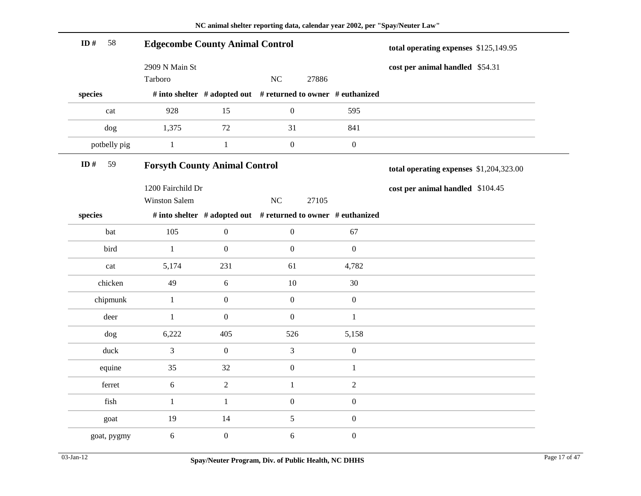| ID $#$<br>58 | <b>Edgecombe County Animal Control</b>    |                                                                     |                  |       |                  | total operating expenses \$125,149.95   |  |
|--------------|-------------------------------------------|---------------------------------------------------------------------|------------------|-------|------------------|-----------------------------------------|--|
|              | 2909 N Main St                            |                                                                     |                  |       |                  | cost per animal handled \$54.31         |  |
|              | Tarboro                                   |                                                                     | NC               | 27886 |                  |                                         |  |
| species      |                                           | # into shelter $#$ adopted out $#$ returned to owner $#$ euthanized |                  |       |                  |                                         |  |
| cat          | 928                                       | 15                                                                  | $\boldsymbol{0}$ |       | 595              |                                         |  |
| dog          | 1,375                                     | 72                                                                  | 31               |       | 841              |                                         |  |
| potbelly pig | $\mathbf{1}$                              | $1\,$                                                               | $\boldsymbol{0}$ |       | $\boldsymbol{0}$ |                                         |  |
| ID#<br>59    | <b>Forsyth County Animal Control</b>      |                                                                     |                  |       |                  | total operating expenses \$1,204,323.00 |  |
|              | 1200 Fairchild Dr<br><b>Winston Salem</b> |                                                                     | $\rm NC$         | 27105 |                  | cost per animal handled \$104.45        |  |
| species      |                                           | # into shelter # adopted out # returned to owner # euthanized       |                  |       |                  |                                         |  |
|              |                                           |                                                                     |                  |       |                  |                                         |  |
| bat          | 105                                       | $\boldsymbol{0}$                                                    | $\boldsymbol{0}$ |       | 67               |                                         |  |
| bird         | $\mathbf{1}$                              | $\boldsymbol{0}$                                                    | $\boldsymbol{0}$ |       | $\boldsymbol{0}$ |                                         |  |
| cat          | 5,174                                     | 231                                                                 | 61               |       | 4,782            |                                         |  |
| chicken      | 49                                        | $\sqrt{6}$                                                          | $10\,$           |       | 30               |                                         |  |
| chipmunk     | $\mathbf{1}$                              | $\boldsymbol{0}$                                                    | $\boldsymbol{0}$ |       | $\boldsymbol{0}$ |                                         |  |
| deer         | $\mathbf{1}$                              | $\boldsymbol{0}$                                                    | $\boldsymbol{0}$ |       | $\mathbf{1}$     |                                         |  |
| dog          | 6,222                                     | 405                                                                 | 526              |       | 5,158            |                                         |  |
| $duck$       | 3                                         | $\boldsymbol{0}$                                                    | $\mathfrak{Z}$   |       | $\boldsymbol{0}$ |                                         |  |
| equine       | 35                                        | 32                                                                  | $\boldsymbol{0}$ |       | $\mathbf{1}$     |                                         |  |
| ferret       | 6                                         | $\boldsymbol{2}$                                                    | $\mathbf{1}$     |       | $\overline{2}$   |                                         |  |
| fish         | $\mathbf{1}$                              | $\mathbf{1}$                                                        | $\boldsymbol{0}$ |       | $\boldsymbol{0}$ |                                         |  |
| goat         | 19                                        | 14                                                                  | $\mathfrak{S}$   |       | $\boldsymbol{0}$ |                                         |  |
| goat, pygmy  | 6                                         | $\boldsymbol{0}$                                                    | $6\,$            |       | $\boldsymbol{0}$ |                                         |  |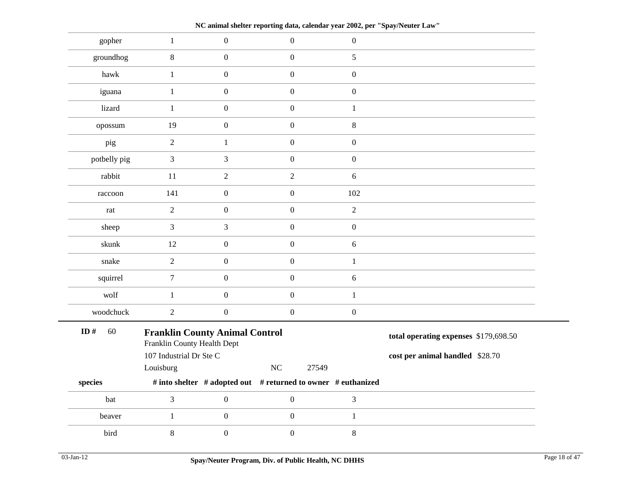**NC animal shelter reporting data, calendar year 2002, per "Spay/Neuter Law"**

| gopher       | $\mathbf{1}$                                                                                    | $\boldsymbol{0}$ | $\boldsymbol{0}$                                              | $\boldsymbol{0}$ |                                                                          |
|--------------|-------------------------------------------------------------------------------------------------|------------------|---------------------------------------------------------------|------------------|--------------------------------------------------------------------------|
| groundhog    | $8\,$                                                                                           | $\boldsymbol{0}$ | $\boldsymbol{0}$                                              | 5                |                                                                          |
| hawk         | $\mathbf{1}$                                                                                    | $\boldsymbol{0}$ | $\boldsymbol{0}$                                              | $\boldsymbol{0}$ |                                                                          |
| iguana       | $\mathbf{1}$                                                                                    | $\boldsymbol{0}$ | $\boldsymbol{0}$                                              | $\boldsymbol{0}$ |                                                                          |
| lizard       | $\mathbf{1}$                                                                                    | $\boldsymbol{0}$ | $\boldsymbol{0}$                                              | $\mathbf{1}$     |                                                                          |
| opossum      | 19                                                                                              | $\boldsymbol{0}$ | $\boldsymbol{0}$                                              | 8                |                                                                          |
| pig          | $\overline{2}$                                                                                  | $\mathbf{1}$     | $\boldsymbol{0}$                                              | $\boldsymbol{0}$ |                                                                          |
| potbelly pig | 3                                                                                               | 3                | $\boldsymbol{0}$                                              | $\boldsymbol{0}$ |                                                                          |
| rabbit       | 11                                                                                              | $\overline{2}$   | $\sqrt{2}$                                                    | $6\,$            |                                                                          |
| raccoon      | 141                                                                                             | $\boldsymbol{0}$ | $\boldsymbol{0}$                                              | 102              |                                                                          |
| rat          | $\overline{2}$                                                                                  | $\boldsymbol{0}$ | $\boldsymbol{0}$                                              | $\overline{2}$   |                                                                          |
| sheep        | 3                                                                                               | 3                | $\boldsymbol{0}$                                              | $\boldsymbol{0}$ |                                                                          |
| skunk        | 12                                                                                              | $\boldsymbol{0}$ | $\boldsymbol{0}$                                              | 6                |                                                                          |
| snake        | $\overline{2}$                                                                                  | $\boldsymbol{0}$ | $\boldsymbol{0}$                                              | $\mathbf{1}$     |                                                                          |
| squirrel     | $\tau$                                                                                          | $\boldsymbol{0}$ | $\boldsymbol{0}$                                              | 6                |                                                                          |
| wolf         | $\mathbf{1}$                                                                                    | $\boldsymbol{0}$ | $\boldsymbol{0}$                                              | $\mathbf{1}$     |                                                                          |
| woodchuck    | $\overline{2}$                                                                                  | $\boldsymbol{0}$ | $\overline{0}$                                                | $\boldsymbol{0}$ |                                                                          |
| ID#<br>60    | <b>Franklin County Animal Control</b><br>Franklin County Health Dept<br>107 Industrial Dr Ste C |                  |                                                               |                  | total operating expenses \$179,698.50<br>cost per animal handled \$28.70 |
|              | Louisburg                                                                                       |                  | NC<br>27549                                                   |                  |                                                                          |
| species      |                                                                                                 |                  | # into shelter # adopted out # returned to owner # euthanized |                  |                                                                          |
| bat          | 3                                                                                               | $\boldsymbol{0}$ | $\boldsymbol{0}$                                              | 3                |                                                                          |
| beaver       | $\mathbf{1}$                                                                                    | $\boldsymbol{0}$ | $\boldsymbol{0}$                                              | $\mathbf{1}$     |                                                                          |
| bird         | $8\,$                                                                                           | $\boldsymbol{0}$ | $\boldsymbol{0}$                                              | $8\,$            |                                                                          |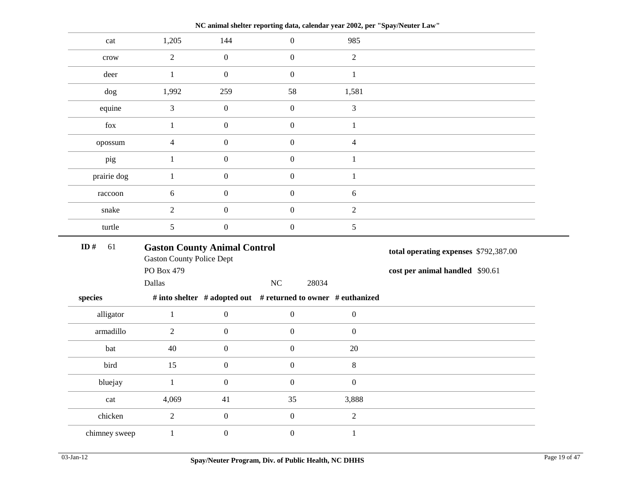| cat                                                               | 1,205                                                                   | 144              | $\boldsymbol{0}$                                              | 985              |                                       |
|-------------------------------------------------------------------|-------------------------------------------------------------------------|------------------|---------------------------------------------------------------|------------------|---------------------------------------|
| crow                                                              | $\overline{2}$                                                          | $\boldsymbol{0}$ | $\mathbf{0}$                                                  | $\overline{2}$   |                                       |
| deer                                                              | $\mathbf{1}$                                                            | $\boldsymbol{0}$ | $\mathbf{0}$                                                  | $\mathbf{1}$     |                                       |
| dog                                                               | 1,992                                                                   | 259              | 58                                                            | 1,581            |                                       |
| equine                                                            | 3                                                                       | $\boldsymbol{0}$ | $\mathbf{0}$                                                  | $\mathfrak{Z}$   |                                       |
| ${\rm fox}$                                                       | $\mathbf{1}$                                                            | $\boldsymbol{0}$ | $\boldsymbol{0}$                                              | $\mathbf{1}$     |                                       |
| opossum                                                           | $\overline{4}$                                                          | $\boldsymbol{0}$ | $\boldsymbol{0}$                                              | $\overline{4}$   |                                       |
| pig                                                               | $\mathbf{1}$                                                            | $\boldsymbol{0}$ | $\mathbf{0}$                                                  | $\mathbf{1}$     |                                       |
| prairie dog                                                       | $\mathbf{1}$                                                            | $\boldsymbol{0}$ | $\mathbf{0}$                                                  | $\mathbf{1}$     |                                       |
| raccoon                                                           | 6                                                                       | $\boldsymbol{0}$ | $\mathbf{0}$                                                  | $\sqrt{6}$       |                                       |
| snake                                                             | $\overline{c}$                                                          | $\boldsymbol{0}$ | $\mathbf{0}$                                                  | $\sqrt{2}$       |                                       |
| turtle                                                            | 5                                                                       | $\boldsymbol{0}$ | $\mathbf{0}$                                                  | $\sqrt{5}$       |                                       |
| ID $#$<br>61                                                      | <b>Gaston County Animal Control</b><br><b>Gaston County Police Dept</b> |                  |                                                               |                  | total operating expenses \$792,387.00 |
|                                                                   | PO Box 479                                                              |                  |                                                               |                  | cost per animal handled \$90.61       |
|                                                                   | Dallas                                                                  |                  | NC<br>28034                                                   |                  |                                       |
| species                                                           |                                                                         |                  | # into shelter # adopted out # returned to owner # euthanized |                  |                                       |
| alligator                                                         | $\,1$                                                                   | $\boldsymbol{0}$ | $\boldsymbol{0}$                                              | $\boldsymbol{0}$ |                                       |
| armadillo                                                         | $\overline{2}$                                                          | $\boldsymbol{0}$ | $\overline{0}$                                                | $\mathbf{0}$     |                                       |
| bat                                                               | 40                                                                      | $\boldsymbol{0}$ | $\boldsymbol{0}$                                              | $20\,$           |                                       |
| bird                                                              | 15                                                                      | $\boldsymbol{0}$ | $\mathbf{0}$                                                  | $\,8\,$          |                                       |
| bluejay                                                           | $\mathbf{1}$                                                            | $\boldsymbol{0}$ | $\mathbf{0}$                                                  | $\boldsymbol{0}$ |                                       |
| $\operatorname*{cat}% \left( b\right) \equiv\operatorname*{cat}b$ | 4,069                                                                   | 41               | 35                                                            | 3,888            |                                       |
| chicken                                                           | $\boldsymbol{2}$                                                        | $\boldsymbol{0}$ | $\boldsymbol{0}$                                              | $\sqrt{2}$       |                                       |
| chimney sweep                                                     | $\,1\,$                                                                 | $\boldsymbol{0}$ | $\boldsymbol{0}$                                              | $\mathbf{1}$     |                                       |
|                                                                   |                                                                         |                  |                                                               |                  |                                       |

**NC animal shelter reporting data, calendar year 2002, per "Spay/Neuter Law"**

÷.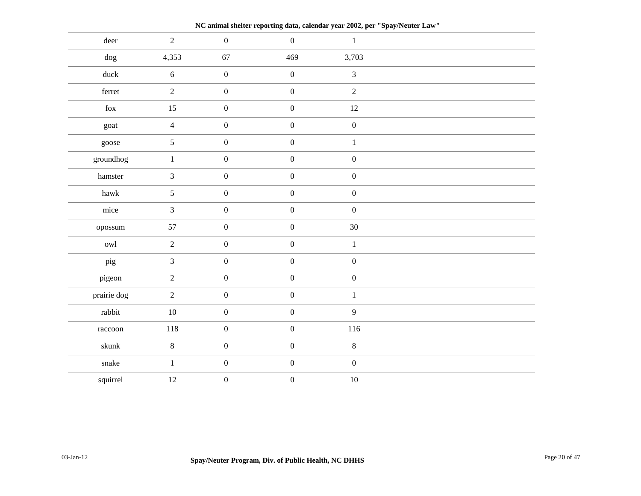deer 2 0 0 1 dog 4,353 67 469 3,703 duck 6 0 0 3 ferret  $2$  0 0 2 fox 15 0 0 12 goat  $4$  0 0 0 0 goose  $5$  0 0 1 groundhog  $1$  0 0 0 0 hamster  $3 \t 0 \t 0 \t 0$ hawk  $5$  0 0 0 0 mice 3 0 0 0 0 opossum 57 0 0 30 owl 2 0 0 1 pig 3 0 0 0 0 pigeon 2 0 0 0 0 prairie dog 2 0 0 1 rabbit 10 0 0 9 raccoon 118 0 0 116 skunk 8 0 0 8 snake  $1$  0 0 0 0 squirrel  $12$  0 0 10

**NC animal shelter reporting data, calendar year 2002, per "Spay/Neuter Law"**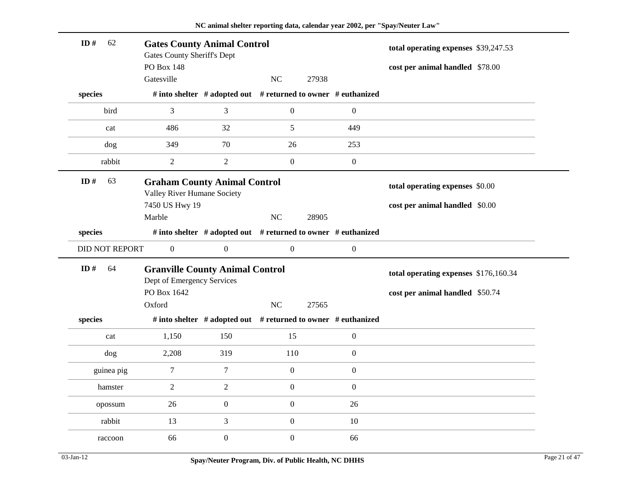| ID#                   | 62<br><b>Gates County Animal Control</b><br><b>Gates County Sheriff's Dept</b> |                  |                  |                                                               | total operating expenses \$39,247.53  |  |
|-----------------------|--------------------------------------------------------------------------------|------------------|------------------|---------------------------------------------------------------|---------------------------------------|--|
|                       | <b>PO Box 148</b>                                                              |                  |                  |                                                               | cost per animal handled \$78.00       |  |
|                       | Gatesville                                                                     |                  | NC               | 27938                                                         |                                       |  |
| species               |                                                                                |                  |                  | # into shelter # adopted out # returned to owner # euthanized |                                       |  |
| bird                  | 3                                                                              | 3                | $\boldsymbol{0}$ | $\boldsymbol{0}$                                              |                                       |  |
| cat                   | 486                                                                            | 32               | 5                | 449                                                           |                                       |  |
| dog                   | 349                                                                            | 70               | 26               | 253                                                           |                                       |  |
| rabbit                | 2                                                                              | $\overline{2}$   | $\boldsymbol{0}$ | $\boldsymbol{0}$                                              |                                       |  |
| ID#<br>63             | <b>Graham County Animal Control</b><br>Valley River Humane Society             |                  |                  |                                                               | total operating expenses \$0.00       |  |
|                       | 7450 US Hwy 19                                                                 |                  |                  |                                                               | cost per animal handled \$0.00        |  |
|                       | Marble                                                                         |                  | NC               | 28905                                                         |                                       |  |
| species               |                                                                                |                  |                  | # into shelter # adopted out # returned to owner # euthanized |                                       |  |
| <b>DID NOT REPORT</b> | $\overline{0}$                                                                 | $\boldsymbol{0}$ | $\boldsymbol{0}$ | $\boldsymbol{0}$                                              |                                       |  |
| ID#<br>64             | <b>Granville County Animal Control</b><br>Dept of Emergency Services           |                  |                  |                                                               | total operating expenses \$176,160.34 |  |
|                       | PO Box 1642                                                                    |                  |                  |                                                               |                                       |  |
|                       |                                                                                |                  |                  |                                                               | cost per animal handled \$50.74       |  |
|                       | Oxford                                                                         |                  | NC               | 27565                                                         |                                       |  |
| species               |                                                                                |                  |                  | # into shelter # adopted out # returned to owner # euthanized |                                       |  |
| cat                   | 1,150                                                                          | 150              | 15               | $\boldsymbol{0}$                                              |                                       |  |
| dog                   | 2,208                                                                          | 319              | 110              | $\boldsymbol{0}$                                              |                                       |  |
| guinea pig            | $\tau$                                                                         | $\tau$           | $\boldsymbol{0}$ | $\boldsymbol{0}$                                              |                                       |  |
| hamster               | $\overline{2}$                                                                 | $\sqrt{2}$       | $\boldsymbol{0}$ | $\boldsymbol{0}$                                              |                                       |  |
| opossum               | 26                                                                             | $\boldsymbol{0}$ | $\boldsymbol{0}$ | 26                                                            |                                       |  |
| rabbit                | 13                                                                             | 3                | $\boldsymbol{0}$ | 10                                                            |                                       |  |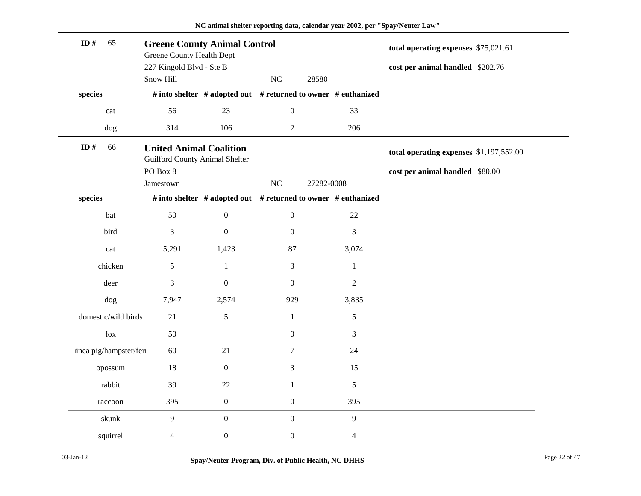| ID#     | 65                     | <b>Greene County Animal Control</b><br>Greene County Health Dept<br>227 Kingold Blvd - Ste B |                  | total operating expenses \$75,021.61<br>cost per animal handled \$202.76 |                                                               |                                         |  |
|---------|------------------------|----------------------------------------------------------------------------------------------|------------------|--------------------------------------------------------------------------|---------------------------------------------------------------|-----------------------------------------|--|
|         |                        | Snow Hill                                                                                    |                  | NC                                                                       | 28580                                                         |                                         |  |
| species |                        |                                                                                              |                  |                                                                          | # into shelter # adopted out # returned to owner # euthanized |                                         |  |
|         | cat                    | 56                                                                                           | 23               | $\boldsymbol{0}$                                                         | 33                                                            |                                         |  |
|         | dog                    | 314                                                                                          | 106              | $\sqrt{2}$                                                               | 206                                                           |                                         |  |
| ID#     | 66                     | <b>United Animal Coalition</b><br><b>Guilford County Animal Shelter</b>                      |                  |                                                                          |                                                               | total operating expenses \$1,197,552.00 |  |
|         |                        | PO Box 8                                                                                     |                  |                                                                          |                                                               | cost per animal handled \$80.00         |  |
|         |                        | Jamestown                                                                                    |                  | NC                                                                       | 27282-0008                                                    |                                         |  |
| species |                        |                                                                                              |                  |                                                                          | # into shelter # adopted out # returned to owner # euthanized |                                         |  |
|         | bat                    | 50                                                                                           | $\boldsymbol{0}$ | $\boldsymbol{0}$                                                         | 22                                                            |                                         |  |
|         | bird                   | 3                                                                                            | $\boldsymbol{0}$ | $\boldsymbol{0}$                                                         | 3                                                             |                                         |  |
|         | cat                    | 5,291                                                                                        | 1,423            | 87                                                                       | 3,074                                                         |                                         |  |
|         | chicken                | 5                                                                                            | $\mathbf{1}$     | 3                                                                        | $\mathbf{1}$                                                  |                                         |  |
|         | deer                   | 3                                                                                            | $\boldsymbol{0}$ | $\boldsymbol{0}$                                                         | $\overline{2}$                                                |                                         |  |
|         | dog                    | 7,947                                                                                        | 2,574            | 929                                                                      | 3,835                                                         |                                         |  |
|         | domestic/wild birds    | 21                                                                                           | 5                | $\mathbf{1}$                                                             | 5                                                             |                                         |  |
|         | fox                    | 50                                                                                           |                  | $\boldsymbol{0}$                                                         | 3                                                             |                                         |  |
|         | inea pig/hampster/feri | 60                                                                                           | 21               | $\boldsymbol{7}$                                                         | 24                                                            |                                         |  |
|         | opossum                | 18                                                                                           | $\boldsymbol{0}$ | 3                                                                        | 15                                                            |                                         |  |
|         | rabbit                 | 39                                                                                           | 22               | $\mathbf{1}$                                                             | 5                                                             |                                         |  |
|         | raccoon                | 395                                                                                          | $\boldsymbol{0}$ | $\boldsymbol{0}$                                                         | 395                                                           |                                         |  |
|         | skunk                  | $\overline{9}$                                                                               | $\boldsymbol{0}$ | $\boldsymbol{0}$                                                         | 9                                                             |                                         |  |
|         | squirrel               | 4                                                                                            | $\boldsymbol{0}$ | $\boldsymbol{0}$                                                         | $\overline{4}$                                                |                                         |  |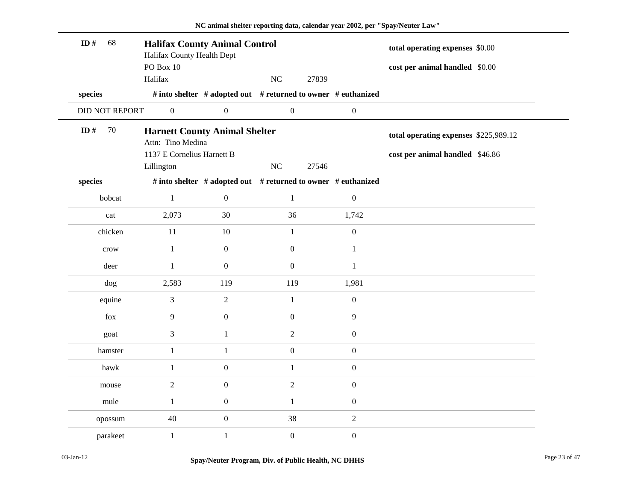| ID#<br>68      | <b>Halifax County Animal Control</b><br>Halifax County Health Dept<br>PO Box 10         |                  |                                                               |                  | total operating expenses \$0.00<br>cost per animal handled \$0.00        |
|----------------|-----------------------------------------------------------------------------------------|------------------|---------------------------------------------------------------|------------------|--------------------------------------------------------------------------|
|                | Halifax                                                                                 |                  | NC<br>27839                                                   |                  |                                                                          |
| species        |                                                                                         |                  | # into shelter # adopted out # returned to owner # euthanized |                  |                                                                          |
| DID NOT REPORT | $\boldsymbol{0}$                                                                        | $\boldsymbol{0}$ | $\boldsymbol{0}$                                              | $\boldsymbol{0}$ |                                                                          |
| ID#<br>70      | <b>Harnett County Animal Shelter</b><br>Attn: Tino Medina<br>1137 E Cornelius Harnett B |                  |                                                               |                  | total operating expenses \$225,989.12<br>cost per animal handled \$46.86 |
|                | Lillington                                                                              |                  | NC<br>27546                                                   |                  |                                                                          |
| species        |                                                                                         |                  | # into shelter # adopted out # returned to owner # euthanized |                  |                                                                          |
| bobcat         | $\mathbf{1}$                                                                            | $\boldsymbol{0}$ | $\mathbf{1}$                                                  | $\boldsymbol{0}$ |                                                                          |
| cat            | 2,073                                                                                   | 30               | 36                                                            | 1,742            |                                                                          |
| chicken        | 11                                                                                      | 10               | $\mathbf{1}$                                                  | $\boldsymbol{0}$ |                                                                          |
| crow           | $\mathbf{1}$                                                                            | $\mathbf{0}$     | $\mathbf{0}$                                                  | $\mathbf{1}$     |                                                                          |
| deer           | $\mathbf{1}$                                                                            | $\mathbf{0}$     | $\mathbf{0}$                                                  | $\mathbf{1}$     |                                                                          |
| dog            | 2,583                                                                                   | 119              | 119                                                           | 1,981            |                                                                          |
| equine         | $\mathfrak{Z}$                                                                          | $\sqrt{2}$       | $\mathbf 1$                                                   | $\boldsymbol{0}$ |                                                                          |
| fox            | 9                                                                                       | $\boldsymbol{0}$ | $\mathbf{0}$                                                  | 9                |                                                                          |
| goat           | 3                                                                                       | $\mathbf{1}$     | $\overline{2}$                                                | $\boldsymbol{0}$ |                                                                          |
| hamster        | $\mathbf{1}$                                                                            | $\mathbf{1}$     | $\boldsymbol{0}$                                              | $\boldsymbol{0}$ |                                                                          |
| hawk           | $\mathbf{1}$                                                                            | $\boldsymbol{0}$ | $\mathbf{1}$                                                  | $\mathbf{0}$     |                                                                          |
| mouse          | $\overline{2}$                                                                          | $\mathbf{0}$     | $\sqrt{2}$                                                    | $\boldsymbol{0}$ |                                                                          |
| mule           | $\mathbf{1}$                                                                            | $\boldsymbol{0}$ | $\mathbf{1}$                                                  | $\boldsymbol{0}$ |                                                                          |
| opossum        | 40                                                                                      | $\boldsymbol{0}$ | 38                                                            | 2                |                                                                          |
| parakeet       | $\mathbf{1}$                                                                            | $\mathbf{1}$     | $\mathbf{0}$                                                  | $\boldsymbol{0}$ |                                                                          |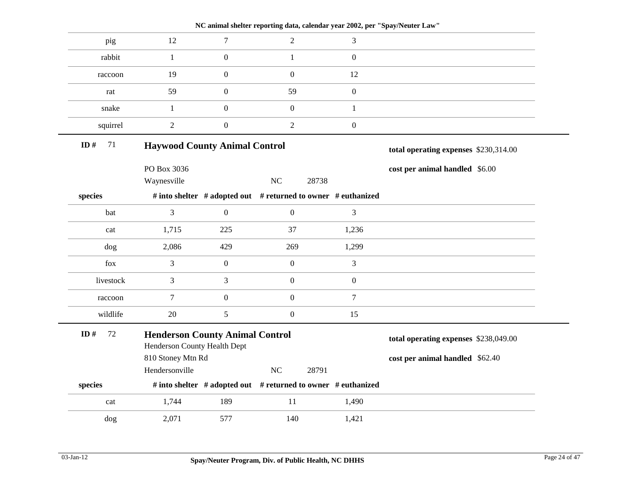|              |                                                                        |                  | NC animal shelter reporting data, calendar year 2002, per "Spay/Neuter Law" |                  |                                       |
|--------------|------------------------------------------------------------------------|------------------|-----------------------------------------------------------------------------|------------------|---------------------------------------|
| pig          | 12                                                                     | $\tau$           | $\overline{2}$                                                              | 3                |                                       |
| rabbit       | $\mathbf{1}$                                                           | $\overline{0}$   | $\mathbf{1}$                                                                | $\boldsymbol{0}$ |                                       |
| raccoon      | 19                                                                     | $\boldsymbol{0}$ | $\boldsymbol{0}$                                                            | 12               |                                       |
| rat          | 59                                                                     | $\boldsymbol{0}$ | 59                                                                          | $\boldsymbol{0}$ |                                       |
| snake        | $1\,$                                                                  | $\boldsymbol{0}$ | $\boldsymbol{0}$                                                            | $\mathbf{1}$     |                                       |
| squirrel     | $\overline{2}$                                                         | $\boldsymbol{0}$ | $\overline{2}$                                                              | $\boldsymbol{0}$ |                                       |
| ID $#$<br>71 | <b>Haywood County Animal Control</b>                                   |                  |                                                                             |                  | total operating expenses \$230,314.00 |
|              | PO Box 3036                                                            |                  |                                                                             |                  | cost per animal handled \$6.00        |
|              | Waynesville                                                            |                  | NC<br>28738                                                                 |                  |                                       |
| species      |                                                                        |                  | # into shelter # adopted out # returned to owner # euthanized               |                  |                                       |
| bat          | 3                                                                      | $\mathbf{0}$     | $\boldsymbol{0}$                                                            | 3                |                                       |
| cat          | 1,715                                                                  | 225              | 37                                                                          | 1,236            |                                       |
| dog          | 2,086                                                                  | 429              | 269                                                                         | 1,299            |                                       |
| fox          | 3                                                                      | $\boldsymbol{0}$ | $\boldsymbol{0}$                                                            | 3                |                                       |
| livestock    | 3                                                                      | $\mathfrak{Z}$   | $\boldsymbol{0}$                                                            | $\boldsymbol{0}$ |                                       |
| raccoon      | $\tau$                                                                 | $\boldsymbol{0}$ | $\boldsymbol{0}$                                                            | $\tau$           |                                       |
| wildlife     | 20                                                                     | 5                | $\boldsymbol{0}$                                                            | 15               |                                       |
| 72<br>ID#    | <b>Henderson County Animal Control</b><br>Henderson County Health Dept |                  |                                                                             |                  | total operating expenses \$238,049.00 |
|              | 810 Stoney Mtn Rd                                                      |                  |                                                                             |                  | cost per animal handled \$62.40       |
|              | Hendersonville                                                         |                  | NC<br>28791                                                                 |                  |                                       |
| species      |                                                                        |                  | # into shelter # adopted out # returned to owner # euthanized               |                  |                                       |
| cat          | 1,744                                                                  | 189              | 11                                                                          | 1,490            |                                       |
| dog          | 2,071                                                                  | 577              | 140                                                                         | 1,421            |                                       |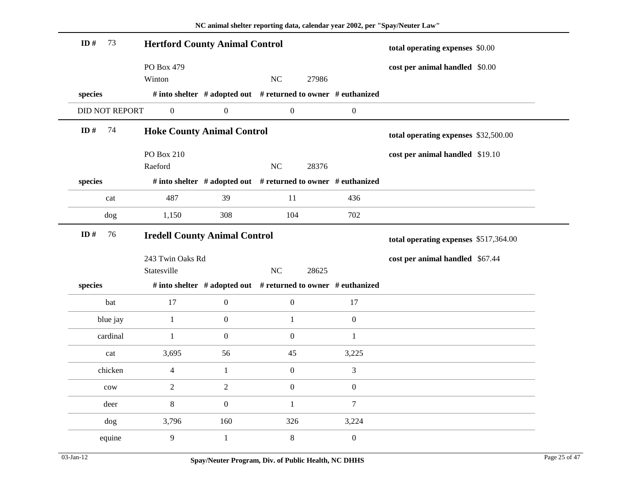| 73<br>ID#             | <b>Hertford County Animal Control</b> |                  |                                                               | total operating expenses \$0.00 |                                       |
|-----------------------|---------------------------------------|------------------|---------------------------------------------------------------|---------------------------------|---------------------------------------|
|                       | PO Box 479                            |                  |                                                               |                                 | cost per animal handled \$0.00        |
|                       | Winton                                |                  | $\rm NC$<br>27986                                             |                                 |                                       |
| species               |                                       |                  | # into shelter # adopted out # returned to owner # euthanized |                                 |                                       |
| <b>DID NOT REPORT</b> | $\boldsymbol{0}$                      | $\boldsymbol{0}$ | $\boldsymbol{0}$                                              | $\boldsymbol{0}$                |                                       |
| ID $\#$<br>74         | <b>Hoke County Animal Control</b>     |                  |                                                               |                                 | total operating expenses \$32,500.00  |
|                       | <b>PO Box 210</b>                     |                  |                                                               |                                 | cost per animal handled \$19.10       |
|                       | Raeford                               |                  | NC<br>28376                                                   |                                 |                                       |
| species               |                                       |                  | # into shelter # adopted out # returned to owner # euthanized |                                 |                                       |
| cat                   | 487                                   | 39               | 11                                                            | 436                             |                                       |
| dog                   | 1,150                                 | 308              | 104                                                           | 702                             |                                       |
| ID $#$<br>76          | <b>Iredell County Animal Control</b>  |                  |                                                               |                                 | total operating expenses \$517,364.00 |
|                       | 243 Twin Oaks Rd                      |                  |                                                               |                                 | cost per animal handled \$67.44       |
|                       | Statesville                           |                  | $\rm NC$<br>28625                                             |                                 |                                       |
| species               |                                       |                  | # into shelter # adopted out # returned to owner # euthanized |                                 |                                       |
| bat                   | 17                                    | $\boldsymbol{0}$ | $\boldsymbol{0}$                                              | 17                              |                                       |
| blue jay              | $\mathbf{1}$                          | $\boldsymbol{0}$ | $\mathbf{1}$                                                  | $\mathbf{0}$                    |                                       |
| cardinal              | $\mathbf{1}$                          | $\boldsymbol{0}$ | $\boldsymbol{0}$                                              | $\mathbf{1}$                    |                                       |
| cat                   | 3,695                                 | 56               | 45                                                            | 3,225                           |                                       |
| chicken               | $\overline{4}$                        | $\mathbf{1}$     | $\boldsymbol{0}$                                              | 3                               |                                       |
| $_{\text{cow}}$       | $\mathbf{2}$                          | $\boldsymbol{2}$ | $\boldsymbol{0}$                                              | $\boldsymbol{0}$                |                                       |
| deer                  | 8                                     | $\boldsymbol{0}$ | $\mathbf{1}$                                                  | $\tau$                          |                                       |
| dog                   | 3,796                                 | 160              | 326                                                           | 3,224                           |                                       |
| equine                | 9                                     | $\mathbf{1}$     | $\,$ 8 $\,$                                                   | $\boldsymbol{0}$                |                                       |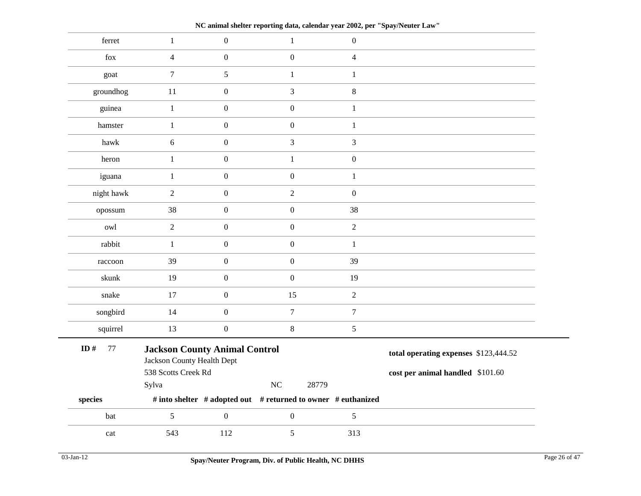**NC animal shelter reporting data, calendar year 2002, per "Spay/Neuter Law"**

| ferret           | $1\,$                                                              | $\boldsymbol{0}$ | $\mathbf{1}$     | $\boldsymbol{0}$                                              |                                       |  |
|------------------|--------------------------------------------------------------------|------------------|------------------|---------------------------------------------------------------|---------------------------------------|--|
| fox              | $\overline{4}$                                                     | $\boldsymbol{0}$ | $\boldsymbol{0}$ | $\overline{4}$                                                |                                       |  |
| goat             | $\tau$                                                             | 5                | $\mathbf{1}$     | $\mathbf{1}$                                                  |                                       |  |
| groundhog        | 11                                                                 | $\boldsymbol{0}$ | 3                | $8\,$                                                         |                                       |  |
| guinea           | $\mathbf{1}% ^{T}=\mathbf{1}_{T}\times\mathbf{1}_{T}$              | $\boldsymbol{0}$ | $\boldsymbol{0}$ | $\,1\,$                                                       |                                       |  |
| hamster          | $\mathbf{1}$                                                       | $\boldsymbol{0}$ | $\boldsymbol{0}$ | $\mathbf{1}$                                                  |                                       |  |
| hawk             | $\sqrt{6}$                                                         | $\boldsymbol{0}$ | $\mathfrak{Z}$   | $\mathfrak{Z}$                                                |                                       |  |
| heron            | $1\,$                                                              | $\boldsymbol{0}$ | $\mathbf{1}$     | $\mathbf{0}$                                                  |                                       |  |
| iguana           | $\mathbf{1}$                                                       | $\boldsymbol{0}$ | $\boldsymbol{0}$ | $\mathbf{1}$                                                  |                                       |  |
| night hawk       | $\sqrt{2}$                                                         | $\boldsymbol{0}$ | $\overline{2}$   | $\boldsymbol{0}$                                              |                                       |  |
| opossum          | 38                                                                 | $\boldsymbol{0}$ | $\boldsymbol{0}$ | 38                                                            |                                       |  |
| owl              | $\sqrt{2}$                                                         | $\boldsymbol{0}$ | $\boldsymbol{0}$ | $\overline{2}$                                                |                                       |  |
| rabbit           | $\mathbf{1}$                                                       | $\boldsymbol{0}$ | $\boldsymbol{0}$ | $\mathbf{1}$                                                  |                                       |  |
| raccoon          | 39                                                                 | $\boldsymbol{0}$ | $\mathbf{0}$     | 39                                                            |                                       |  |
| skunk            | 19                                                                 | $\boldsymbol{0}$ | $\boldsymbol{0}$ | 19                                                            |                                       |  |
| snake            | 17                                                                 | $\boldsymbol{0}$ | 15               | $\overline{2}$                                                |                                       |  |
| songbird         | 14                                                                 | $\boldsymbol{0}$ | $\overline{7}$   | $\overline{7}$                                                |                                       |  |
| squirrel         | 13                                                                 | $\boldsymbol{0}$ | $\,8\,$          | $\mathfrak{S}$                                                |                                       |  |
| ID $#$<br>$77\,$ | <b>Jackson County Animal Control</b><br>Jackson County Health Dept |                  |                  |                                                               | total operating expenses \$123,444.52 |  |
|                  | 538 Scotts Creek Rd                                                |                  |                  | 28779                                                         | cost per animal handled \$101.60      |  |
| species          | Sylva                                                              |                  | NC               | # into shelter # adopted out # returned to owner # euthanized |                                       |  |
| bat              | $\overline{5}$                                                     | $\boldsymbol{0}$ | $\boldsymbol{0}$ | 5                                                             |                                       |  |
| cat              | 543                                                                | 112              | 5                | 313                                                           |                                       |  |
|                  |                                                                    |                  |                  |                                                               |                                       |  |

÷.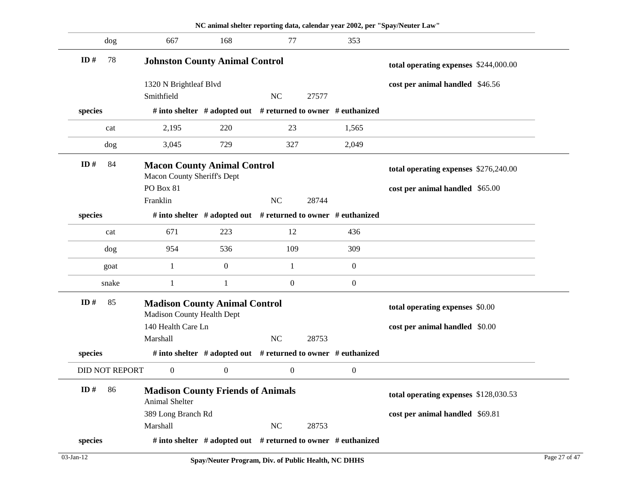|                       |                                                                          |                  | NC animal shelter reporting data, calendar year 2002, per "Spay/Neuter Law" |                                       |                                       |
|-----------------------|--------------------------------------------------------------------------|------------------|-----------------------------------------------------------------------------|---------------------------------------|---------------------------------------|
| dog                   | 667                                                                      | 168              | $77\,$                                                                      | 353                                   |                                       |
| 78<br>ID#             | <b>Johnston County Animal Control</b>                                    |                  | total operating expenses \$244,000.00                                       |                                       |                                       |
|                       | 1320 N Brightleaf Blvd                                                   |                  |                                                                             |                                       | cost per animal handled \$46.56       |
|                       | Smithfield                                                               |                  | <b>NC</b><br>27577                                                          |                                       |                                       |
| species               |                                                                          |                  | # into shelter $#$ adopted out $#$ returned to owner $#$ euthanized         |                                       |                                       |
| cat                   | 2,195                                                                    | 220              | 23                                                                          | 1,565                                 |                                       |
| dog                   | 3,045                                                                    | 729              | 327                                                                         | 2,049                                 |                                       |
| ID $#$<br>84          | <b>Macon County Animal Control</b><br><b>Macon County Sheriff's Dept</b> |                  |                                                                             | total operating expenses \$276,240.00 |                                       |
|                       | PO Box 81                                                                |                  |                                                                             |                                       | cost per animal handled \$65.00       |
|                       | Franklin                                                                 |                  | <b>NC</b><br>28744                                                          |                                       |                                       |
| species               |                                                                          |                  | # into shelter # adopted out # returned to owner # euthanized               |                                       |                                       |
| cat                   | 671                                                                      | 223              | 12                                                                          | 436                                   |                                       |
| dog                   | 954                                                                      | 536              | 109                                                                         | 309                                   |                                       |
| goat                  | $\mathbf{1}$                                                             | $\boldsymbol{0}$ | 1                                                                           | $\boldsymbol{0}$                      |                                       |
| snake                 | $\mathbf{1}$                                                             | $\mathbf{1}$     | $\boldsymbol{0}$                                                            | $\boldsymbol{0}$                      |                                       |
| ID#<br>85             | <b>Madison County Animal Control</b>                                     |                  |                                                                             |                                       | total operating expenses \$0.00       |
|                       | <b>Madison County Health Dept</b>                                        |                  |                                                                             |                                       |                                       |
|                       | 140 Health Care Ln                                                       |                  |                                                                             |                                       | cost per animal handled \$0.00        |
|                       | Marshall                                                                 |                  | <b>NC</b><br>28753                                                          |                                       |                                       |
| species               |                                                                          |                  | # into shelter $#$ adopted out $#$ returned to owner $#$ euthanized         |                                       |                                       |
| <b>DID NOT REPORT</b> | $\boldsymbol{0}$                                                         | $\boldsymbol{0}$ | $\boldsymbol{0}$                                                            | $\boldsymbol{0}$                      |                                       |
| 86<br>ID#             | <b>Madison County Friends of Animals</b><br>Animal Shelter               |                  |                                                                             |                                       | total operating expenses \$128,030.53 |
|                       | 389 Long Branch Rd                                                       |                  |                                                                             |                                       | cost per animal handled \$69.81       |
|                       | Marshall                                                                 |                  | $\rm NC$<br>28753                                                           |                                       |                                       |
|                       | # into shelter $#$ adopted out $#$ returned to owner $#$ euthanized      |                  |                                                                             |                                       |                                       |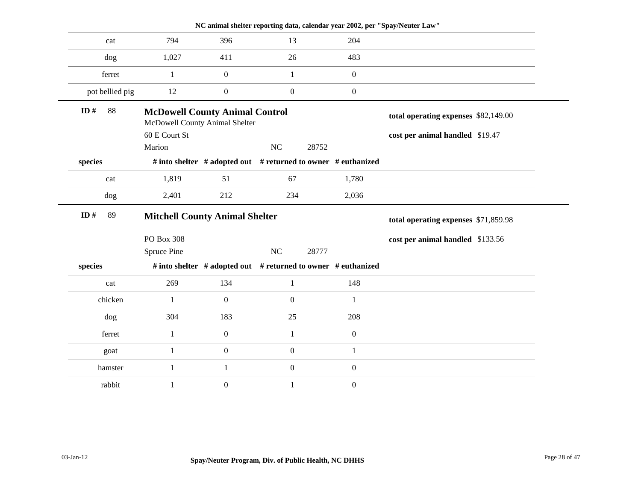|                 |                                                                         |                  | NC animal shelter reporting data, calendar year 2002, per "Spay/Neuter Law" |                  |                                      |
|-----------------|-------------------------------------------------------------------------|------------------|-----------------------------------------------------------------------------|------------------|--------------------------------------|
| cat             | 794                                                                     | 396              | 13                                                                          | 204              |                                      |
| dog             | 1,027                                                                   | 411              | 26                                                                          | 483              |                                      |
| ferret          | 1                                                                       | $\boldsymbol{0}$ | $\mathbf{1}$                                                                | $\boldsymbol{0}$ |                                      |
| pot bellied pig | 12                                                                      | $\boldsymbol{0}$ | $\boldsymbol{0}$                                                            | $\boldsymbol{0}$ |                                      |
| ID#<br>88       | <b>McDowell County Animal Control</b><br>McDowell County Animal Shelter |                  |                                                                             |                  | total operating expenses \$82,149.00 |
|                 | 60 E Court St                                                           |                  |                                                                             |                  | cost per animal handled \$19.47      |
|                 | Marion                                                                  |                  | NC<br>28752                                                                 |                  |                                      |
| species         |                                                                         |                  | # into shelter # adopted out # returned to owner # euthanized               |                  |                                      |
| cat             | 1,819                                                                   | 51               | 67                                                                          | 1,780            |                                      |
| dog             | 2,401                                                                   | 212              | 234                                                                         | 2,036            |                                      |
| ID#<br>89       | <b>Mitchell County Animal Shelter</b>                                   |                  | total operating expenses \$71,859.98                                        |                  |                                      |
|                 | PO Box 308                                                              |                  |                                                                             |                  | cost per animal handled \$133.56     |
|                 | Spruce Pine                                                             |                  | $\rm NC$<br>28777                                                           |                  |                                      |
| species         |                                                                         |                  | # into shelter # adopted out # returned to owner # euthanized               |                  |                                      |
| cat             | 269                                                                     | 134              | 1                                                                           | 148              |                                      |
| chicken         | 1                                                                       | $\boldsymbol{0}$ | $\overline{0}$                                                              | $\mathbf{1}$     |                                      |
| dog             | 304                                                                     | 183              | 25                                                                          | 208              |                                      |
| ferret          | $\mathbf{1}$                                                            | $\boldsymbol{0}$ | $\mathbf{1}$                                                                | $\boldsymbol{0}$ |                                      |
| goat            | $\mathbf{1}$                                                            | $\boldsymbol{0}$ | $\boldsymbol{0}$                                                            | $\mathbf{1}$     |                                      |
| hamster         | $\mathbf{1}$                                                            | $\mathbf{1}$     | $\boldsymbol{0}$                                                            | $\boldsymbol{0}$ |                                      |
| rabbit          |                                                                         |                  |                                                                             |                  |                                      |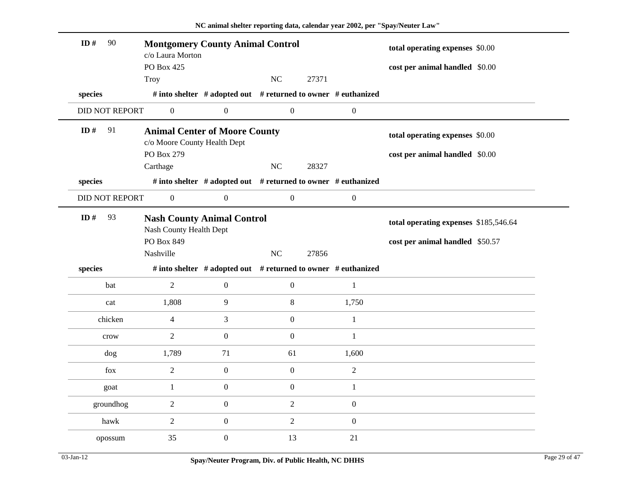| ID#<br>90             |                                                                      |                                                               |                  |       |                  |                                       |  |
|-----------------------|----------------------------------------------------------------------|---------------------------------------------------------------|------------------|-------|------------------|---------------------------------------|--|
|                       | <b>Montgomery County Animal Control</b><br>c/o Laura Morton          |                                                               |                  |       |                  | total operating expenses \$0.00       |  |
|                       | PO Box 425                                                           |                                                               |                  |       |                  | cost per animal handled \$0.00        |  |
|                       | Troy                                                                 |                                                               | NC               | 27371 |                  |                                       |  |
| species               |                                                                      | # into shelter # adopted out # returned to owner # euthanized |                  |       |                  |                                       |  |
| <b>DID NOT REPORT</b> | $\boldsymbol{0}$                                                     | $\boldsymbol{0}$                                              | $\boldsymbol{0}$ |       | $\boldsymbol{0}$ |                                       |  |
| ID $#$<br>91          | <b>Animal Center of Moore County</b><br>c/o Moore County Health Dept |                                                               |                  |       |                  | total operating expenses \$0.00       |  |
|                       | PO Box 279                                                           |                                                               |                  |       |                  | cost per animal handled \$0.00        |  |
|                       | Carthage                                                             |                                                               | $\rm NC$         | 28327 |                  |                                       |  |
| species               |                                                                      | # into shelter # adopted out # returned to owner # euthanized |                  |       |                  |                                       |  |
| <b>DID NOT REPORT</b> | $\boldsymbol{0}$                                                     | $\boldsymbol{0}$                                              | $\boldsymbol{0}$ |       | $\boldsymbol{0}$ |                                       |  |
| 93<br>ID $#$          | <b>Nash County Animal Control</b><br>Nash County Health Dept         |                                                               |                  |       |                  | total operating expenses \$185,546.64 |  |
|                       | PO Box 849                                                           |                                                               |                  |       |                  | cost per animal handled \$50.57       |  |
|                       | Nashville                                                            |                                                               | NC               | 27856 |                  |                                       |  |
| species               |                                                                      | # into shelter # adopted out # returned to owner # euthanized |                  |       |                  |                                       |  |
| bat                   | $\sqrt{2}$                                                           | $\boldsymbol{0}$                                              | $\boldsymbol{0}$ |       |                  |                                       |  |
|                       |                                                                      |                                                               |                  |       | $\mathbf{1}$     |                                       |  |
| cat                   | 1,808                                                                | $\overline{9}$                                                | $8\,$            |       | 1,750            |                                       |  |
| chicken               | $\overline{4}$                                                       | 3                                                             | $\boldsymbol{0}$ |       | $\mathbf{1}$     |                                       |  |
| crow                  | 2                                                                    | $\mathbf{0}$                                                  | $\boldsymbol{0}$ |       | $\mathbf{1}$     |                                       |  |
| dog                   | 1,789                                                                | 71                                                            | 61               |       | 1,600            |                                       |  |
| fox                   | 2                                                                    | $\boldsymbol{0}$                                              | $\overline{0}$   |       | $\overline{2}$   |                                       |  |
| goat                  | $\mathbf{1}$                                                         | $\boldsymbol{0}$                                              | $\boldsymbol{0}$ |       | $\mathbf{1}$     |                                       |  |
| groundhog             | $\overline{2}$                                                       | $\boldsymbol{0}$                                              | $\overline{2}$   |       | $\boldsymbol{0}$ |                                       |  |
| hawk                  | $\overline{2}$                                                       | $\boldsymbol{0}$                                              | $\overline{2}$   |       | $\boldsymbol{0}$ |                                       |  |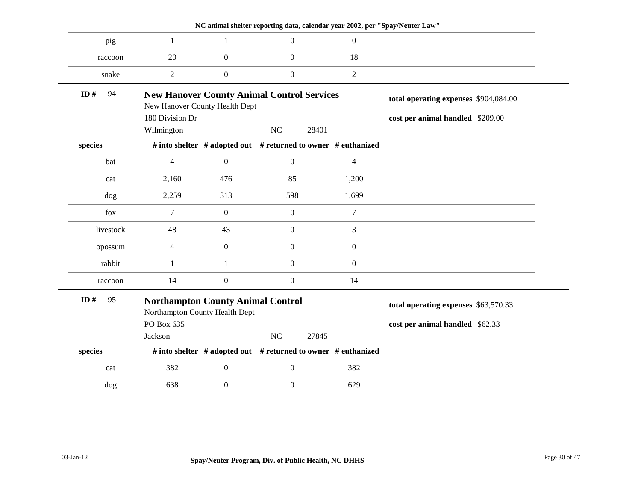|              |                                                                            |                  |                                                   | NC animal shelter reporting data, calendar year 2002, per "Spay/Neuter Law" |                                       |
|--------------|----------------------------------------------------------------------------|------------------|---------------------------------------------------|-----------------------------------------------------------------------------|---------------------------------------|
| pig          | $\mathbf{1}$                                                               | 1                | $\overline{0}$                                    | $\overline{0}$                                                              |                                       |
| raccoon      | 20                                                                         | $\boldsymbol{0}$ | $\overline{0}$                                    | 18                                                                          |                                       |
| snake        | $\boldsymbol{2}$                                                           | $\boldsymbol{0}$ | $\boldsymbol{0}$                                  | $\overline{2}$                                                              |                                       |
| ID#<br>94    | New Hanover County Health Dept                                             |                  | <b>New Hanover County Animal Control Services</b> |                                                                             | total operating expenses \$904,084.00 |
|              | 180 Division Dr                                                            |                  |                                                   |                                                                             | cost per animal handled \$209.00      |
|              | Wilmington                                                                 |                  | NC                                                | 28401                                                                       |                                       |
| species      |                                                                            |                  |                                                   | # into shelter # adopted out # returned to owner # euthanized               |                                       |
| bat          | $\overline{4}$                                                             | $\mathbf{0}$     | $\overline{0}$                                    | $\overline{4}$                                                              |                                       |
| cat          | 2,160                                                                      | 476              | 85                                                | 1,200                                                                       |                                       |
| dog          | 2,259                                                                      | 313              | 598                                               | 1,699                                                                       |                                       |
| fox          | $\overline{7}$                                                             | $\mathbf{0}$     | $\overline{0}$                                    | $\tau$                                                                      |                                       |
| livestock    | 48                                                                         | 43               | $\overline{0}$                                    | $\mathfrak 3$                                                               |                                       |
| opossum      | $\overline{4}$                                                             | $\mathbf{0}$     | $\overline{0}$                                    | $\overline{0}$                                                              |                                       |
| rabbit       | $\mathbf{1}$                                                               | 1                | $\boldsymbol{0}$                                  | $\boldsymbol{0}$                                                            |                                       |
| raccoon      | 14                                                                         | $\boldsymbol{0}$ | $\boldsymbol{0}$                                  | 14                                                                          |                                       |
| ID $#$<br>95 | <b>Northampton County Animal Control</b><br>Northampton County Health Dept |                  |                                                   | total operating expenses \$63,570.33                                        |                                       |
|              | PO Box 635                                                                 |                  |                                                   |                                                                             | cost per animal handled \$62.33       |
|              | Jackson                                                                    |                  | NC                                                | 27845                                                                       |                                       |
| species      |                                                                            |                  |                                                   | # into shelter # adopted out # returned to owner # euthanized               |                                       |
| cat          | 382                                                                        | $\boldsymbol{0}$ | $\boldsymbol{0}$                                  | 382                                                                         |                                       |
| dog          | 638                                                                        | $\boldsymbol{0}$ | $\boldsymbol{0}$                                  | 629                                                                         |                                       |
|              |                                                                            |                  |                                                   |                                                                             |                                       |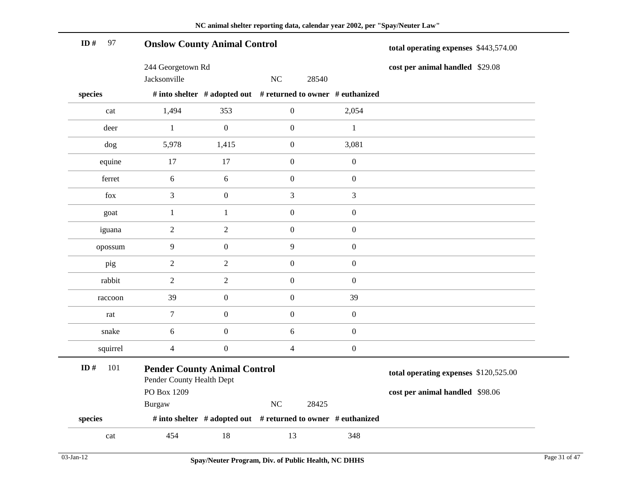| ID#<br>97  | <b>Onslow County Animal Control</b>                              |                  | total operating expenses \$443,574.00                         |                  |                                       |
|------------|------------------------------------------------------------------|------------------|---------------------------------------------------------------|------------------|---------------------------------------|
|            | 244 Georgetown Rd                                                |                  |                                                               |                  | cost per animal handled \$29.08       |
|            | Jacksonville                                                     |                  | NC<br>28540                                                   |                  |                                       |
| species    |                                                                  |                  | # into shelter # adopted out # returned to owner # euthanized |                  |                                       |
| cat        | 1,494                                                            | 353              | $\boldsymbol{0}$                                              | 2,054            |                                       |
| deer       | $\mathbf{1}$                                                     | $\boldsymbol{0}$ | $\boldsymbol{0}$                                              | $\mathbf{1}$     |                                       |
| dog        | 5,978                                                            | 1,415            | $\boldsymbol{0}$                                              | 3,081            |                                       |
| equine     | 17                                                               | 17               | $\boldsymbol{0}$                                              | $\boldsymbol{0}$ |                                       |
| ferret     | $\sqrt{6}$                                                       | $\sqrt{6}$       | $\boldsymbol{0}$                                              | $\boldsymbol{0}$ |                                       |
| fox        | $\mathfrak{Z}$                                                   | $\boldsymbol{0}$ | 3                                                             | $\mathfrak{Z}$   |                                       |
| goat       | $\mathbf{1}$                                                     | $\mathbf{1}$     | $\boldsymbol{0}$                                              | $\boldsymbol{0}$ |                                       |
| iguana     | $\boldsymbol{2}$                                                 | $\sqrt{2}$       | $\boldsymbol{0}$                                              | $\boldsymbol{0}$ |                                       |
| opossum    | $\mathbf{9}$                                                     | $\boldsymbol{0}$ | $\mathbf{9}$                                                  | $\boldsymbol{0}$ |                                       |
| pig        | $\boldsymbol{2}$                                                 | $\overline{2}$   | $\boldsymbol{0}$                                              | $\boldsymbol{0}$ |                                       |
| rabbit     | $\sqrt{2}$                                                       | $\sqrt{2}$       | $\boldsymbol{0}$                                              | $\boldsymbol{0}$ |                                       |
| raccoon    | 39                                                               | $\boldsymbol{0}$ | $\boldsymbol{0}$                                              | 39               |                                       |
| rat        | $\tau$                                                           | $\boldsymbol{0}$ | $\boldsymbol{0}$                                              | $\boldsymbol{0}$ |                                       |
| snake      | $\sqrt{6}$                                                       | $\boldsymbol{0}$ | 6                                                             | $\boldsymbol{0}$ |                                       |
| squirrel   | $\overline{4}$                                                   | $\boldsymbol{0}$ | $\overline{4}$                                                | $\boldsymbol{0}$ |                                       |
| 101<br>ID# | <b>Pender County Animal Control</b><br>Pender County Health Dept |                  |                                                               |                  | total operating expenses \$120,525.00 |
|            | PO Box 1209                                                      |                  |                                                               |                  | cost per animal handled \$98.06       |
|            | Burgaw                                                           |                  | $\rm NC$<br>28425                                             |                  |                                       |
| species    |                                                                  |                  | # into shelter # adopted out # returned to owner # euthanized |                  |                                       |
| cat        | 454                                                              | 18               | 13                                                            | 348              |                                       |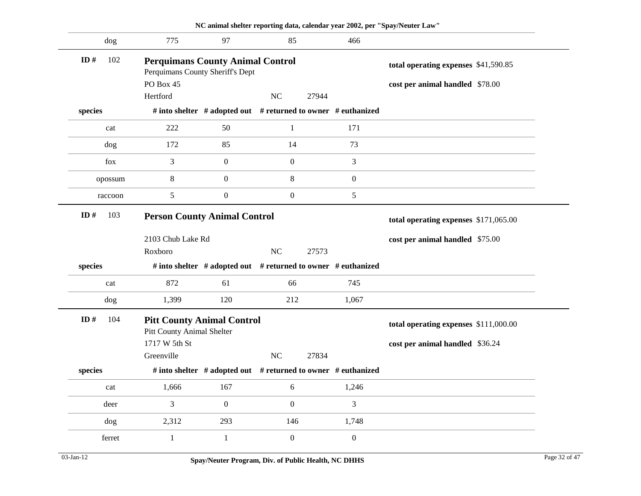|                                                                   |                                                                             |                                                               |                                       |       |                  | NC animal shelter reporting data, calendar year 2002, per "Spay/Neuter Law" |  |
|-------------------------------------------------------------------|-----------------------------------------------------------------------------|---------------------------------------------------------------|---------------------------------------|-------|------------------|-----------------------------------------------------------------------------|--|
| dog                                                               | 775                                                                         | 97                                                            | 85                                    |       | 466              |                                                                             |  |
| ID $#$<br>102                                                     | <b>Perquimans County Animal Control</b><br>Perquimans County Sheriff's Dept |                                                               |                                       |       |                  | total operating expenses \$41,590.85                                        |  |
|                                                                   | PO Box 45                                                                   |                                                               |                                       |       |                  | cost per animal handled \$78.00                                             |  |
|                                                                   | Hertford                                                                    |                                                               | NC                                    | 27944 |                  |                                                                             |  |
| species                                                           |                                                                             | # into shelter # adopted out # returned to owner # euthanized |                                       |       |                  |                                                                             |  |
| cat                                                               | 222                                                                         | 50                                                            | $\mathbf{1}$                          |       | 171              |                                                                             |  |
| dog                                                               | 172                                                                         | 85                                                            | 14                                    |       | 73               |                                                                             |  |
| fox                                                               | 3                                                                           | $\boldsymbol{0}$                                              | $\boldsymbol{0}$                      |       | 3                |                                                                             |  |
| opossum                                                           | $8\,$                                                                       | $\boldsymbol{0}$                                              | 8                                     |       | $\boldsymbol{0}$ |                                                                             |  |
| raccoon                                                           | 5                                                                           | $\boldsymbol{0}$                                              | $\boldsymbol{0}$                      |       | 5                |                                                                             |  |
| 103<br>ID#                                                        | <b>Person County Animal Control</b>                                         |                                                               | total operating expenses \$171,065.00 |       |                  |                                                                             |  |
|                                                                   | 2103 Chub Lake Rd                                                           |                                                               |                                       |       |                  | cost per animal handled \$75.00                                             |  |
|                                                                   | Roxboro                                                                     |                                                               | $\rm NC$                              | 27573 |                  |                                                                             |  |
| species                                                           | # into shelter # adopted out # returned to owner # euthanized               |                                                               |                                       |       |                  |                                                                             |  |
| cat                                                               | 872                                                                         | 61                                                            | 66                                    |       | 745              |                                                                             |  |
| dog                                                               | 1,399                                                                       | 120                                                           | 212                                   |       | 1,067            |                                                                             |  |
| ID $#$<br>104                                                     | <b>Pitt County Animal Control</b><br>Pitt County Animal Shelter             |                                                               | total operating expenses \$111,000.00 |       |                  |                                                                             |  |
|                                                                   | 1717 W 5th St                                                               |                                                               |                                       |       |                  | cost per animal handled \$36.24                                             |  |
|                                                                   | Greenville                                                                  |                                                               | <b>NC</b>                             | 27834 |                  |                                                                             |  |
| species                                                           |                                                                             | # into shelter # adopted out # returned to owner # euthanized |                                       |       |                  |                                                                             |  |
| $\operatorname*{cat}% \left( b\right) \equiv\operatorname*{cat}b$ | 1,666                                                                       | 167                                                           | 6                                     |       | 1,246            |                                                                             |  |
| deer                                                              | 3                                                                           | $\boldsymbol{0}$                                              | $\boldsymbol{0}$                      |       | 3                |                                                                             |  |
| dog                                                               | 2,312                                                                       | 293                                                           | 146                                   |       | 1,748            |                                                                             |  |
| ferret                                                            | $\,1\,$                                                                     | $\mathbf{1}$                                                  | $\boldsymbol{0}$                      |       | $\boldsymbol{0}$ |                                                                             |  |
|                                                                   |                                                                             |                                                               |                                       |       |                  |                                                                             |  |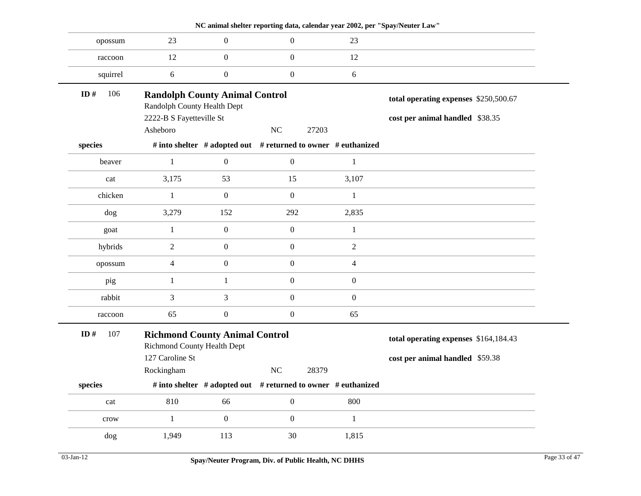|               |                                                                      |                  |                                                                     | NC animal shelter reporting data, calendar year 2002, per "Spay/Neuter Law" |                                       |
|---------------|----------------------------------------------------------------------|------------------|---------------------------------------------------------------------|-----------------------------------------------------------------------------|---------------------------------------|
| opossum       | 23                                                                   | $\boldsymbol{0}$ | $\boldsymbol{0}$                                                    | 23                                                                          |                                       |
| raccoon       | 12                                                                   | $\boldsymbol{0}$ | $\boldsymbol{0}$                                                    | 12                                                                          |                                       |
| squirrel      | $6\,$                                                                | $\boldsymbol{0}$ | $\boldsymbol{0}$                                                    | $\sqrt{6}$                                                                  |                                       |
| 106<br>ID $#$ | <b>Randolph County Animal Control</b><br>Randolph County Health Dept |                  |                                                                     | total operating expenses \$250,500.67                                       |                                       |
|               | 2222-B S Fayetteville St                                             |                  |                                                                     |                                                                             | cost per animal handled \$38.35       |
|               | Asheboro                                                             |                  | NC<br>27203                                                         |                                                                             |                                       |
| species       |                                                                      |                  | # into shelter # adopted out # returned to owner # euthanized       |                                                                             |                                       |
| beaver        | $\mathbf{1}$                                                         | $\boldsymbol{0}$ | $\boldsymbol{0}$                                                    | $\mathbf{1}$                                                                |                                       |
| cat           | 3,175                                                                | 53               | 15                                                                  | 3,107                                                                       |                                       |
| chicken       | $\mathbf{1}$                                                         | $\boldsymbol{0}$ | $\boldsymbol{0}$                                                    | $\mathbf{1}$                                                                |                                       |
| dog           | 3,279                                                                | 152              | 292                                                                 | 2,835                                                                       |                                       |
| goat          | $\mathbf{1}$                                                         | $\boldsymbol{0}$ | $\boldsymbol{0}$                                                    | $\mathbf{1}$                                                                |                                       |
| hybrids       | $\boldsymbol{2}$                                                     | $\boldsymbol{0}$ | $\boldsymbol{0}$                                                    | $\overline{2}$                                                              |                                       |
| opossum       | $\overline{4}$                                                       | $\boldsymbol{0}$ | $\boldsymbol{0}$                                                    | $\overline{4}$                                                              |                                       |
| pig           | $\mathbf{1}$                                                         | $\,1\,$          | $\boldsymbol{0}$                                                    | $\boldsymbol{0}$                                                            |                                       |
| rabbit        | $\mathfrak{Z}$                                                       | 3                | $\boldsymbol{0}$                                                    | $\overline{0}$                                                              |                                       |
| raccoon       | 65                                                                   | $\boldsymbol{0}$ | $\boldsymbol{0}$                                                    | 65                                                                          |                                       |
| ID#<br>107    | <b>Richmond County Animal Control</b><br>Richmond County Health Dept |                  |                                                                     |                                                                             | total operating expenses \$164,184.43 |
|               | 127 Caroline St                                                      |                  |                                                                     |                                                                             | cost per animal handled \$59.38       |
|               | Rockingham                                                           |                  | NC<br>28379                                                         |                                                                             |                                       |
| species       |                                                                      |                  | # into shelter $#$ adopted out $#$ returned to owner $#$ euthanized |                                                                             |                                       |
| cat           | 810                                                                  | 66               | $\boldsymbol{0}$                                                    | 800                                                                         |                                       |
| crow          | $\mathbf{1}$                                                         | $\boldsymbol{0}$ | $\boldsymbol{0}$                                                    | $\mathbf{1}$                                                                |                                       |
| dog           | 1,949                                                                | 113              | 30                                                                  | 1,815                                                                       |                                       |
|               |                                                                      |                  |                                                                     |                                                                             |                                       |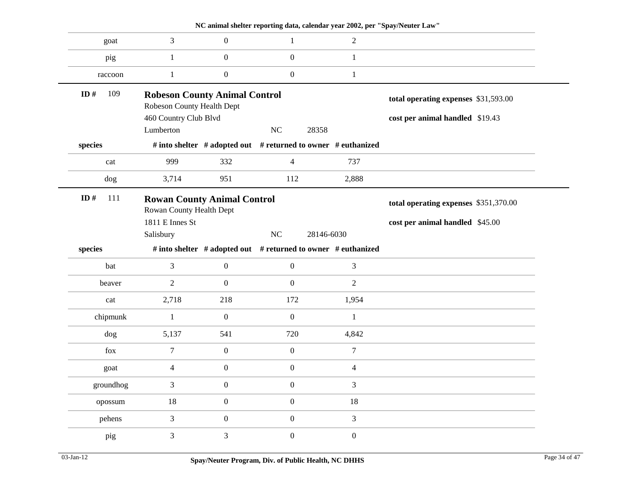|               |                                                                    |                  | NC animal shelter reporting data, calendar year 2002, per "Spay/Neuter Law" |                  |                                       |
|---------------|--------------------------------------------------------------------|------------------|-----------------------------------------------------------------------------|------------------|---------------------------------------|
| goat          | $\mathfrak{Z}$                                                     | $\boldsymbol{0}$ | -1                                                                          | $\overline{2}$   |                                       |
| pig           | $\mathbf{1}$                                                       | $\mathbf{0}$     | $\mathbf{0}$                                                                | 1                |                                       |
| raccoon       | $\mathbf{1}$                                                       | $\boldsymbol{0}$ | $\boldsymbol{0}$                                                            | $\mathbf{1}$     |                                       |
| ID $#$<br>109 | <b>Robeson County Animal Control</b><br>Robeson County Health Dept |                  |                                                                             |                  | total operating expenses \$31,593.00  |
|               | 460 Country Club Blvd                                              |                  |                                                                             |                  | cost per animal handled \$19.43       |
|               | Lumberton                                                          |                  | N <sub>C</sub><br>28358                                                     |                  |                                       |
| species       |                                                                    |                  | # into shelter # adopted out # returned to owner # euthanized               |                  |                                       |
| cat           | 999                                                                | 332              | $\overline{4}$                                                              | 737              |                                       |
| dog           | 3,714                                                              | 951              | 112                                                                         | 2,888            |                                       |
| ID $#$<br>111 | <b>Rowan County Animal Control</b><br>Rowan County Health Dept     |                  |                                                                             |                  | total operating expenses \$351,370.00 |
|               | 1811 E Innes St                                                    |                  |                                                                             |                  | cost per animal handled \$45.00       |
|               | Salisbury                                                          |                  | $\rm NC$<br>28146-6030                                                      |                  |                                       |
| species       |                                                                    |                  | # into shelter # adopted out # returned to owner # euthanized               |                  |                                       |
| bat           | $\overline{3}$                                                     | $\mathbf{0}$     | $\overline{0}$                                                              | $\mathfrak{Z}$   |                                       |
| beaver        | $\overline{2}$                                                     | $\mathbf{0}$     | $\mathbf{0}$                                                                | $\sqrt{2}$       |                                       |
| cat           | 2,718                                                              | 218              | 172                                                                         | 1,954            |                                       |
| chipmunk      | $\mathbf{1}$                                                       | $\mathbf{0}$     | $\boldsymbol{0}$                                                            | $\mathbf{1}$     |                                       |
| dog           | 5,137                                                              | 541              | 720                                                                         | 4,842            |                                       |
| fox           | $\tau$                                                             | $\mathbf{0}$     | $\mathbf{0}$                                                                | $\tau$           |                                       |
| goat          | $\overline{4}$                                                     | $\boldsymbol{0}$ | $\boldsymbol{0}$                                                            | $\overline{4}$   |                                       |
| groundhog     | $\mathfrak{Z}$                                                     | $\boldsymbol{0}$ | $\boldsymbol{0}$                                                            | $\mathfrak{Z}$   |                                       |
| opossum       | 18                                                                 | $\boldsymbol{0}$ | $\overline{0}$                                                              | 18               |                                       |
| pehens        | $\mathfrak{Z}$                                                     | $\boldsymbol{0}$ | $\boldsymbol{0}$                                                            | $\mathfrak{Z}$   |                                       |
| pig           | 3                                                                  | 3                | $\boldsymbol{0}$                                                            | $\boldsymbol{0}$ |                                       |
|               |                                                                    |                  |                                                                             |                  |                                       |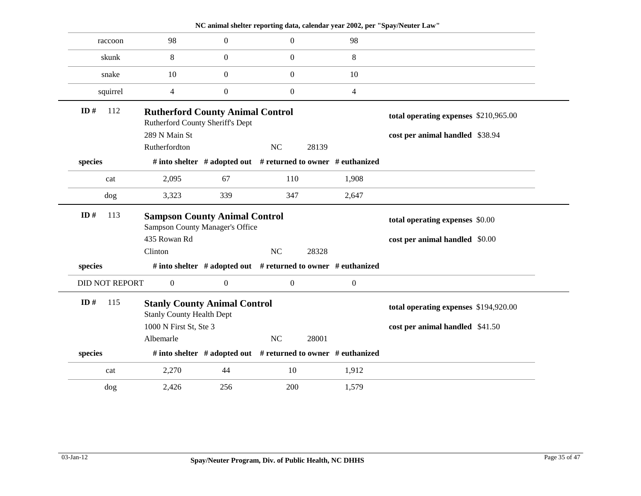|                       |                                                                                |                                                                     |                                       |       |                  | NC animal shelter reporting data, calendar year 2002, per "Spay/Neuter Law" |
|-----------------------|--------------------------------------------------------------------------------|---------------------------------------------------------------------|---------------------------------------|-------|------------------|-----------------------------------------------------------------------------|
| raccoon               | 98                                                                             | $\Omega$                                                            | $\overline{0}$                        |       | 98               |                                                                             |
| skunk                 | 8                                                                              | $\mathbf{0}$                                                        | $\boldsymbol{0}$                      |       | 8                |                                                                             |
| snake                 | 10                                                                             | $\mathbf{0}$                                                        | $\boldsymbol{0}$                      |       | 10               |                                                                             |
| squirrel              | $\overline{4}$                                                                 | $\boldsymbol{0}$                                                    | $\boldsymbol{0}$                      |       | $\overline{4}$   |                                                                             |
| ID#<br>112            | <b>Rutherford County Animal Control</b><br>Rutherford County Sheriff's Dept    |                                                                     |                                       |       |                  | total operating expenses \$210,965.00                                       |
|                       | 289 N Main St<br>Rutherfordton                                                 |                                                                     | NC                                    | 28139 |                  | cost per animal handled \$38.94                                             |
| species               |                                                                                | # into shelter $#$ adopted out $#$ returned to owner $#$ euthanized |                                       |       |                  |                                                                             |
| cat                   | 2,095                                                                          | 67                                                                  | 110                                   |       | 1,908            |                                                                             |
| dog                   | 3,323                                                                          | 339                                                                 | 347                                   |       | 2,647            |                                                                             |
| ID $#$<br>113         | <b>Sampson County Animal Control</b><br><b>Sampson County Manager's Office</b> |                                                                     |                                       |       |                  | total operating expenses \$0.00                                             |
|                       | 435 Rowan Rd<br>Clinton                                                        |                                                                     | NC                                    | 28328 |                  | cost per animal handled \$0.00                                              |
| species               |                                                                                | # into shelter # adopted out # returned to owner # euthanized       |                                       |       |                  |                                                                             |
| <b>DID NOT REPORT</b> | $\mathbf{0}$                                                                   | $\boldsymbol{0}$                                                    | $\boldsymbol{0}$                      |       | $\boldsymbol{0}$ |                                                                             |
| ID#<br>115            | <b>Stanly County Animal Control</b><br><b>Stanly County Health Dept</b>        |                                                                     | total operating expenses \$194,920.00 |       |                  |                                                                             |
|                       | 1000 N First St, Ste 3                                                         |                                                                     |                                       |       |                  | cost per animal handled \$41.50                                             |
|                       | Albemarle                                                                      |                                                                     | NC                                    | 28001 |                  |                                                                             |
| species               |                                                                                | # into shelter $#$ adopted out $#$ returned to owner $#$ euthanized |                                       |       |                  |                                                                             |
| cat                   | 2,270                                                                          | 44                                                                  | 10                                    |       | 1,912            |                                                                             |
| dog                   | 2,426                                                                          | 256                                                                 | 200                                   |       | 1,579            |                                                                             |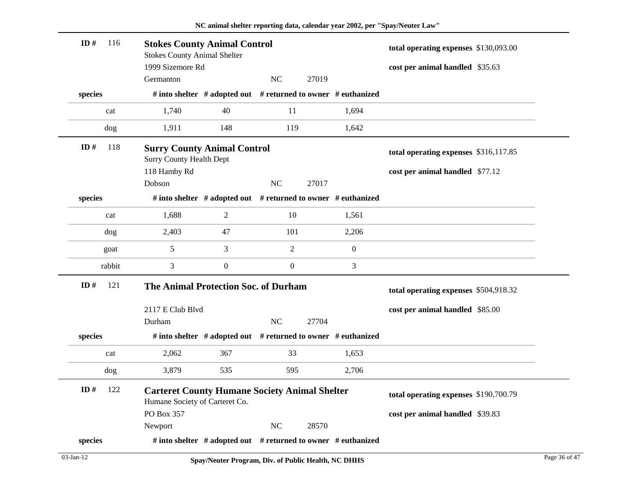| ID#     | 116 | <b>Stokes County Animal Control</b><br><b>Stokes County Animal Shelter</b><br>1999 Sizemore Rd |                                                                     |                  | total operating expenses \$130,093.00 |                  |                                       |  |
|---------|-----|------------------------------------------------------------------------------------------------|---------------------------------------------------------------------|------------------|---------------------------------------|------------------|---------------------------------------|--|
|         |     | Germanton                                                                                      |                                                                     | <b>NC</b>        | 27019                                 |                  | cost per animal handled \$35.63       |  |
| species |     |                                                                                                | # into shelter # adopted out # returned to owner # euthanized       |                  |                                       |                  |                                       |  |
| cat     |     | 1,740                                                                                          | 40                                                                  | 11               |                                       | 1,694            |                                       |  |
| dog     |     | 1,911                                                                                          | 148                                                                 | 119              |                                       | 1,642            |                                       |  |
| ID#     | 118 | <b>Surry County Animal Control</b><br><b>Surry County Health Dept</b>                          |                                                                     |                  |                                       |                  | total operating expenses \$316,117.85 |  |
|         |     | 118 Hamby Rd                                                                                   |                                                                     |                  |                                       |                  | cost per animal handled \$77.12       |  |
|         |     | Dobson                                                                                         |                                                                     | NC               | 27017                                 |                  |                                       |  |
| species |     |                                                                                                | # into shelter # adopted out # returned to owner # euthanized       |                  |                                       |                  |                                       |  |
| cat     |     | 1,688                                                                                          | $\overline{2}$                                                      | 10               |                                       | 1,561            |                                       |  |
| dog     |     | 2,403                                                                                          | 47                                                                  | 101              |                                       | 2,206            |                                       |  |
| goat    |     | 5                                                                                              | 3                                                                   | $\overline{c}$   |                                       | $\boldsymbol{0}$ |                                       |  |
| rabbit  |     | 3                                                                                              | $\overline{0}$                                                      | $\boldsymbol{0}$ |                                       | 3                |                                       |  |
| ID#     | 121 | The Animal Protection Soc. of Durham                                                           |                                                                     |                  | total operating expenses \$504,918.32 |                  |                                       |  |
|         |     | 2117 E Club Blvd                                                                               |                                                                     |                  |                                       |                  | cost per animal handled \$85.00       |  |
|         |     | Durham                                                                                         |                                                                     | $\rm NC$         | 27704                                 |                  |                                       |  |
| species |     |                                                                                                | # into shelter # adopted out # returned to owner # euthanized       |                  |                                       |                  |                                       |  |
| cat     |     | 2,062                                                                                          | 367                                                                 | 33               |                                       | 1,653            |                                       |  |
| dog     |     | 3,879                                                                                          | 535                                                                 | 595              |                                       | 2,706            |                                       |  |
| ID#     | 122 | <b>Carteret County Humane Society Animal Shelter</b><br>Humane Society of Carteret Co.         |                                                                     |                  |                                       |                  | total operating expenses \$190,700.79 |  |
|         |     | PO Box 357                                                                                     |                                                                     |                  |                                       |                  | cost per animal handled \$39.83       |  |
|         |     | Newport                                                                                        |                                                                     | $\rm NC$         | 28570                                 |                  |                                       |  |
| species |     |                                                                                                | # into shelter $#$ adopted out $#$ returned to owner $#$ euthanized |                  |                                       |                  |                                       |  |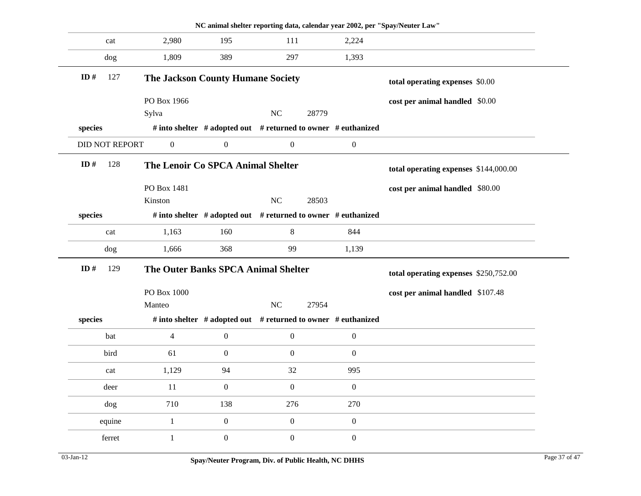|            |                       |                                            |                  | NC animal shelter reporting data, calendar year 2002, per "Spay/Neuter Law" |                  |                                  |
|------------|-----------------------|--------------------------------------------|------------------|-----------------------------------------------------------------------------|------------------|----------------------------------|
|            | cat                   | 2,980                                      | 195              | 111                                                                         | 2,224            |                                  |
|            | dog                   | 1,809                                      | 389              | 297                                                                         | 1,393            |                                  |
| ID#        | 127                   | <b>The Jackson County Humane Society</b>   |                  |                                                                             |                  | total operating expenses \$0.00  |
|            |                       | PO Box 1966                                |                  |                                                                             |                  | cost per animal handled \$0.00   |
|            |                       | Sylva                                      |                  | $\rm NC$<br>28779                                                           |                  |                                  |
| species    |                       |                                            |                  | # into shelter # adopted out # returned to owner # euthanized               |                  |                                  |
|            | <b>DID NOT REPORT</b> | $\boldsymbol{0}$                           | $\boldsymbol{0}$ | $\boldsymbol{0}$                                                            | $\boldsymbol{0}$ |                                  |
| ID#<br>128 |                       | The Lenoir Co SPCA Animal Shelter          |                  | total operating expenses \$144,000.00                                       |                  |                                  |
|            |                       | PO Box 1481                                |                  |                                                                             |                  | cost per animal handled \$80.00  |
|            |                       | Kinston                                    |                  | $\rm NC$<br>28503                                                           |                  |                                  |
| species    |                       |                                            |                  | # into shelter # adopted out # returned to owner # euthanized               |                  |                                  |
|            | cat                   | 1,163                                      | 160              | 8                                                                           | 844              |                                  |
|            | dog                   | 1,666                                      | 368              | 99                                                                          | 1,139            |                                  |
| ID#        | 129                   | <b>The Outer Banks SPCA Animal Shelter</b> |                  | total operating expenses \$250,752.00                                       |                  |                                  |
|            |                       | PO Box 1000                                |                  |                                                                             |                  | cost per animal handled \$107.48 |
|            |                       | Manteo                                     |                  | $\rm NC$<br>27954                                                           |                  |                                  |
| species    |                       |                                            |                  | # into shelter # adopted out # returned to owner # euthanized               |                  |                                  |
|            | bat                   | $\overline{4}$                             | $\boldsymbol{0}$ | $\boldsymbol{0}$                                                            | $\boldsymbol{0}$ |                                  |
|            | bird                  | 61                                         | $\boldsymbol{0}$ | $\boldsymbol{0}$                                                            | $\boldsymbol{0}$ |                                  |
|            | cat                   | 1,129                                      | 94               | 32                                                                          | 995              |                                  |
|            | deer                  | 11                                         | $\boldsymbol{0}$ | $\mathbf{0}$                                                                | $\mathbf{0}$     |                                  |
|            | dog                   | 710                                        | 138              | 276                                                                         | 270              |                                  |
|            | equine                | $\mathbf{1}$                               | $\boldsymbol{0}$ | $\boldsymbol{0}$                                                            | $\boldsymbol{0}$ |                                  |
|            | ferret                | $\mathbf{1}$                               | $\boldsymbol{0}$ | $\boldsymbol{0}$                                                            | $\boldsymbol{0}$ |                                  |
|            |                       |                                            |                  |                                                                             |                  |                                  |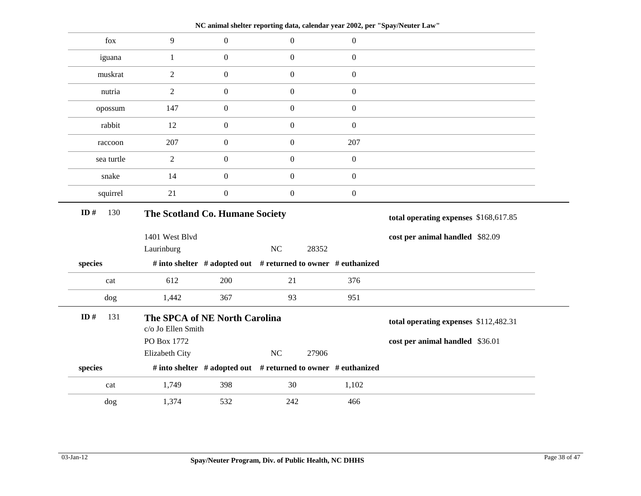fox  $9 \t 0 \t 0 \t 0$ iguana 1 0 0 0 muskrat 2 0 0 0 0 nutria  $\begin{array}{cccc} 2 & 0 & 0 & 0 \end{array}$ opossum 147 0 0 0 0 rabbit 12 0 0 0 raccoon 207 0 0 207 sea turtle  $2 \t 0 \t 0 \t 0$ snake 14 0 0 0 0 squirrel  $21$  0 0 0 **The Scotland Co. Humane Society** 1401 West Blvd Laurinburg NC 28352 **species # into shelter # adopted out # returned to owner # euthanized total operating expenses** \$168,617.85 **cost per animal handled** \$82.09 **ID #** 130 cat 612 200 21 376 dog 1,442 367 93 951 **The SPCA of NE North Carolina** c/o Jo Ellen Smith PO Box 1772 Elizabeth City NC 27906 **species # into shelter # adopted out # returned to owner # euthanized total operating expenses** \$112,482.31 **cost per animal handled** \$36.01 **ID #** 131 cat 1,749 398 30 1,102 dog 1,374 532 242 466

**NC animal shelter reporting data, calendar year 2002, per "Spay/Neuter Law"**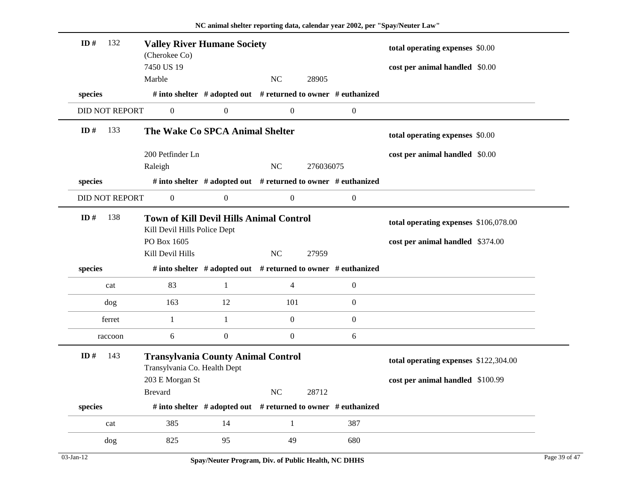| ID#<br>132            | <b>Valley River Humane Society</b><br>(Cherokee Co)                            |                                                               |                  | total operating expenses \$0.00 |                  |                                       |  |
|-----------------------|--------------------------------------------------------------------------------|---------------------------------------------------------------|------------------|---------------------------------|------------------|---------------------------------------|--|
|                       | 7450 US 19                                                                     |                                                               |                  |                                 |                  | cost per animal handled \$0.00        |  |
|                       | Marble                                                                         |                                                               | N <sub>C</sub>   | 28905                           |                  |                                       |  |
| species               |                                                                                | # into shelter # adopted out # returned to owner # euthanized |                  |                                 |                  |                                       |  |
| <b>DID NOT REPORT</b> | $\boldsymbol{0}$                                                               | $\boldsymbol{0}$                                              | $\boldsymbol{0}$ |                                 | $\boldsymbol{0}$ |                                       |  |
| ID#<br>133            | The Wake Co SPCA Animal Shelter                                                |                                                               |                  |                                 |                  | total operating expenses \$0.00       |  |
|                       | 200 Petfinder Ln<br>Raleigh                                                    |                                                               | NC               | 276036075                       |                  | cost per animal handled \$0.00        |  |
| species               |                                                                                | # into shelter # adopted out # returned to owner # euthanized |                  |                                 |                  |                                       |  |
| <b>DID NOT REPORT</b> | $\boldsymbol{0}$                                                               | $\boldsymbol{0}$                                              | $\boldsymbol{0}$ |                                 | $\boldsymbol{0}$ |                                       |  |
| ID#<br>138            | <b>Town of Kill Devil Hills Animal Control</b><br>Kill Devil Hills Police Dept |                                                               |                  |                                 |                  | total operating expenses \$106,078.00 |  |
|                       | PO Box 1605                                                                    |                                                               |                  |                                 |                  | cost per animal handled \$374.00      |  |
|                       | Kill Devil Hills                                                               |                                                               | NC               | 27959                           |                  |                                       |  |
| species               |                                                                                | # into shelter # adopted out # returned to owner # euthanized |                  |                                 |                  |                                       |  |
| cat                   | 83                                                                             | $\mathbf{1}$                                                  | $\overline{4}$   |                                 | $\boldsymbol{0}$ |                                       |  |
| dog                   | 163                                                                            | 12                                                            | 101              |                                 | $\boldsymbol{0}$ |                                       |  |
| ferret                | 1                                                                              | $\mathbf{1}$                                                  | $\overline{0}$   |                                 | $\boldsymbol{0}$ |                                       |  |
| raccoon               | 6                                                                              | $\boldsymbol{0}$                                              | $\boldsymbol{0}$ |                                 | 6                |                                       |  |
| ID#<br>143            | <b>Transylvania County Animal Control</b><br>Transylvania Co. Health Dept      |                                                               |                  |                                 |                  | total operating expenses \$122,304.00 |  |
|                       | 203 E Morgan St                                                                |                                                               |                  |                                 |                  | cost per animal handled \$100.99      |  |
|                       | <b>Brevard</b>                                                                 |                                                               | NC               | 28712                           |                  |                                       |  |
| species               |                                                                                | # into shelter # adopted out # returned to owner # euthanized |                  |                                 |                  |                                       |  |
| cat                   | 385                                                                            | 14                                                            | $\mathbf{1}$     |                                 | 387              |                                       |  |
| dog                   | 825                                                                            | 95                                                            | 49               |                                 | 680              |                                       |  |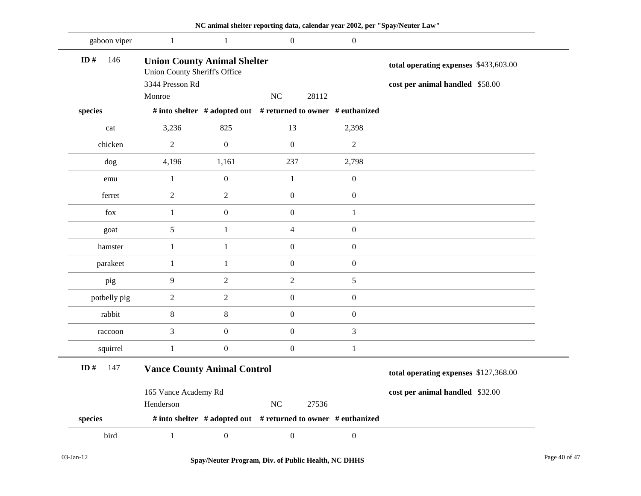| gaboon viper | 1                                                                          | 1                | $\boldsymbol{0}$                                              | $\overline{0}$   |                                       |
|--------------|----------------------------------------------------------------------------|------------------|---------------------------------------------------------------|------------------|---------------------------------------|
| ID#<br>146   | <b>Union County Animal Shelter</b><br><b>Union County Sheriff's Office</b> |                  |                                                               |                  | total operating expenses \$433,603.00 |
|              | 3344 Presson Rd                                                            |                  |                                                               |                  | cost per animal handled \$58.00       |
|              | Monroe                                                                     |                  | $\rm NC$<br>28112                                             |                  |                                       |
| species      |                                                                            |                  | # into shelter # adopted out # returned to owner # euthanized |                  |                                       |
| cat          | 3,236                                                                      | 825              | 13                                                            | 2,398            |                                       |
| chicken      | $\boldsymbol{2}$                                                           | $\mathbf{0}$     | $\boldsymbol{0}$                                              | $\sqrt{2}$       |                                       |
| dog          | 4,196                                                                      | 1,161            | 237                                                           | 2,798            |                                       |
| emu          | $\mathbf{1}$                                                               | $\boldsymbol{0}$ | $\mathbf{1}$                                                  | $\boldsymbol{0}$ |                                       |
| ferret       | $\overline{2}$                                                             | $\overline{c}$   | $\boldsymbol{0}$                                              | $\boldsymbol{0}$ |                                       |
| fox          | 1                                                                          | $\boldsymbol{0}$ | $\boldsymbol{0}$                                              | 1                |                                       |
| goat         | $\sqrt{5}$                                                                 | 1                | $\overline{4}$                                                | $\overline{0}$   |                                       |
| hamster      | $\mathbf{1}$                                                               | $\mathbf{1}$     | $\boldsymbol{0}$                                              | $\overline{0}$   |                                       |
| parakeet     | 1                                                                          | 1                | $\boldsymbol{0}$                                              | $\overline{0}$   |                                       |
| pig          | 9                                                                          | $\overline{c}$   | $\mathbf{2}$                                                  | 5                |                                       |
| potbelly pig | $\overline{2}$                                                             | $\overline{c}$   | $\boldsymbol{0}$                                              | $\overline{0}$   |                                       |
| rabbit       | $\,8\,$                                                                    | 8                | $\boldsymbol{0}$                                              | $\boldsymbol{0}$ |                                       |
| raccoon      | 3                                                                          | $\mathbf{0}$     | $\boldsymbol{0}$                                              | 3                |                                       |
| squirrel     | $\mathbf{1}$                                                               | $\boldsymbol{0}$ | $\boldsymbol{0}$                                              | 1                |                                       |
| ID#<br>147   | <b>Vance County Animal Control</b>                                         |                  |                                                               |                  | total operating expenses \$127,368.00 |
|              | 165 Vance Academy Rd                                                       |                  |                                                               |                  | cost per animal handled \$32.00       |
|              | Henderson                                                                  |                  | $\rm NC$<br>27536                                             |                  |                                       |
| species      |                                                                            |                  | # into shelter # adopted out # returned to owner # euthanized |                  |                                       |
| bird         | $\mathbf{1}$                                                               | $\boldsymbol{0}$ | $\boldsymbol{0}$                                              | $\boldsymbol{0}$ |                                       |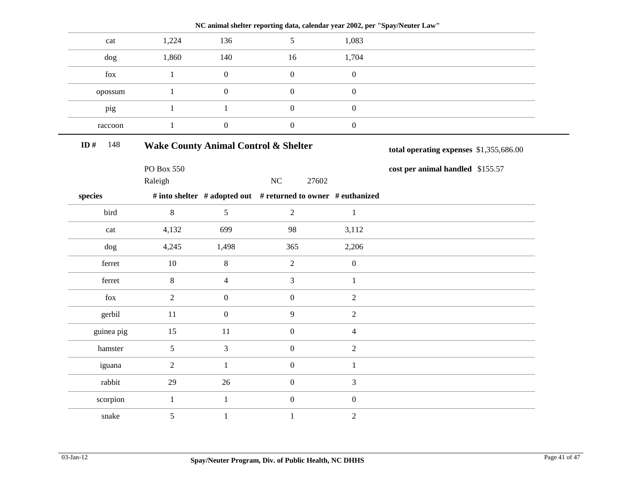|            |                                                 |                  | NC animal shelter reporting data, calendar year 2002, per "Spay/Neuter Law" |                  |                                  |
|------------|-------------------------------------------------|------------------|-----------------------------------------------------------------------------|------------------|----------------------------------|
| cat        | 1,224                                           | 136              | 5                                                                           | 1,083            |                                  |
| dog        | 1,860                                           | 140              | 16                                                                          | 1,704            |                                  |
| fox        | $\mathbf{1}$                                    | $\boldsymbol{0}$ | $\boldsymbol{0}$                                                            | $\boldsymbol{0}$ |                                  |
| opossum    | $\mathbf{1}$                                    | $\boldsymbol{0}$ | $\boldsymbol{0}$                                                            | $\boldsymbol{0}$ |                                  |
| pig        | $\mathbf{1}$                                    | $\mathbf{1}$     | $\boldsymbol{0}$                                                            | $\boldsymbol{0}$ |                                  |
| raccoon    | $\,1$                                           | $\boldsymbol{0}$ | $\boldsymbol{0}$                                                            | $\boldsymbol{0}$ |                                  |
| ID#<br>148 | <b>Wake County Animal Control &amp; Shelter</b> |                  | total operating expenses \$1,355,686.00                                     |                  |                                  |
|            | PO Box 550                                      |                  |                                                                             |                  | cost per animal handled \$155.57 |
|            | Raleigh                                         |                  | NC<br>27602                                                                 |                  |                                  |
| species    |                                                 |                  | # into shelter # adopted out # returned to owner # euthanized               |                  |                                  |
| bird       | 8                                               | 5                | $\overline{2}$                                                              | $\mathbf{1}$     |                                  |
| cat        | 4,132                                           | 699              | 98                                                                          | 3,112            |                                  |
| dog        | 4,245                                           | 1,498            | 365                                                                         | 2,206            |                                  |
| ferret     | 10                                              | $8\,$            | $\sqrt{2}$                                                                  | $\boldsymbol{0}$ |                                  |
| ferret     | $8\,$                                           | $\overline{4}$   | $\mathfrak{Z}$                                                              | $\mathbf{1}$     |                                  |
| fox        | $\overline{2}$                                  | $\boldsymbol{0}$ | $\boldsymbol{0}$                                                            | $\overline{c}$   |                                  |
| gerbil     | 11                                              | $\boldsymbol{0}$ | 9                                                                           | $\overline{2}$   |                                  |
| guinea pig | 15                                              | 11               | $\boldsymbol{0}$                                                            | $\overline{4}$   |                                  |
| hamster    | 5                                               | 3                | $\mathbf{0}$                                                                | $\overline{2}$   |                                  |
| iguana     | $\overline{2}$                                  | $\mathbf{1}$     | $\boldsymbol{0}$                                                            | $\mathbf{1}$     |                                  |
| rabbit     | 29                                              | 26               | $\boldsymbol{0}$                                                            | 3                |                                  |
| scorpion   | $\mathbf{1}$                                    | $\mathbf{1}$     | $\boldsymbol{0}$                                                            | $\boldsymbol{0}$ |                                  |
| snake      | 5                                               | $\mathbf{1}$     | $\mathbf{1}$                                                                | $\overline{c}$   |                                  |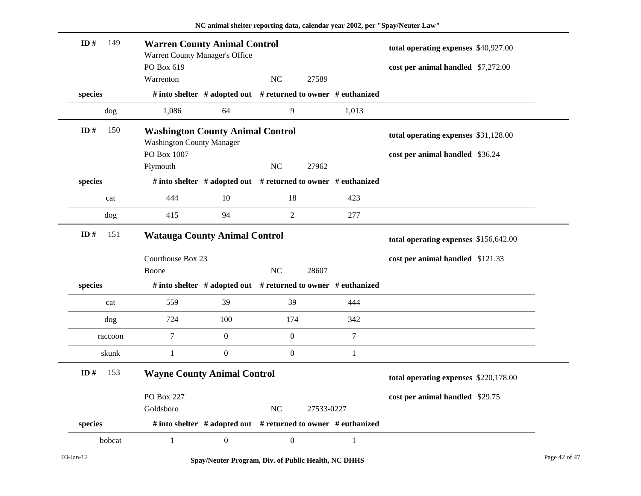| ID#<br>149    | <b>Warren County Animal Control</b><br>Warren County Manager's Office<br>PO Box 619 |                                                               |                  |            |                | total operating expenses \$40,927.00<br>cost per animal handled \$7,272.00 |  |
|---------------|-------------------------------------------------------------------------------------|---------------------------------------------------------------|------------------|------------|----------------|----------------------------------------------------------------------------|--|
|               | Warrenton                                                                           |                                                               | N <sub>C</sub>   | 27589      |                |                                                                            |  |
| species       |                                                                                     | # into shelter # adopted out # returned to owner # euthanized |                  |            |                |                                                                            |  |
| dog           | 1,086                                                                               | 64                                                            | 9                |            | 1,013          |                                                                            |  |
| ID#<br>150    | <b>Washington County Animal Control</b><br><b>Washington County Manager</b>         |                                                               |                  |            |                | total operating expenses \$31,128.00                                       |  |
|               | PO Box 1007                                                                         |                                                               |                  |            |                | cost per animal handled \$36.24                                            |  |
|               | Plymouth                                                                            |                                                               | NC               | 27962      |                |                                                                            |  |
| species       |                                                                                     | # into shelter # adopted out # returned to owner # euthanized |                  |            |                |                                                                            |  |
| cat           | 444                                                                                 | 10                                                            | 18               |            | 423            |                                                                            |  |
| dog           | 415                                                                                 | 94                                                            | $\overline{2}$   |            | 277            |                                                                            |  |
| ID $#$<br>151 | <b>Watauga County Animal Control</b>                                                |                                                               |                  |            |                | total operating expenses \$156,642.00                                      |  |
|               | Courthouse Box 23                                                                   |                                                               |                  |            |                | cost per animal handled \$121.33                                           |  |
|               | Boone                                                                               |                                                               | N <sub>C</sub>   | 28607      |                |                                                                            |  |
| species       |                                                                                     | # into shelter # adopted out # returned to owner # euthanized |                  |            |                |                                                                            |  |
| cat           | 559                                                                                 | 39                                                            | 39               |            | 444            |                                                                            |  |
| dog           | 724                                                                                 | 100                                                           | 174              |            | 342            |                                                                            |  |
| raccoon       | 7                                                                                   | $\mathbf{0}$                                                  | $\mathbf{0}$     |            | $\overline{7}$ |                                                                            |  |
| skunk         | $\mathbf{1}$                                                                        | $\boldsymbol{0}$                                              | $\mathbf{0}$     |            | $\mathbf{1}$   |                                                                            |  |
| 153<br>ID#    | <b>Wayne County Animal Control</b>                                                  |                                                               |                  |            |                | total operating expenses \$220,178.00                                      |  |
|               | PO Box 227                                                                          |                                                               |                  |            |                | cost per animal handled \$29.75                                            |  |
|               | Goldsboro                                                                           |                                                               | <b>NC</b>        | 27533-0227 |                |                                                                            |  |
| species       |                                                                                     | # into shelter # adopted out # returned to owner # euthanized |                  |            |                |                                                                            |  |
| bobcat        | $\mathbf{1}$                                                                        | $\mathbf{0}$                                                  | $\boldsymbol{0}$ |            | 1              |                                                                            |  |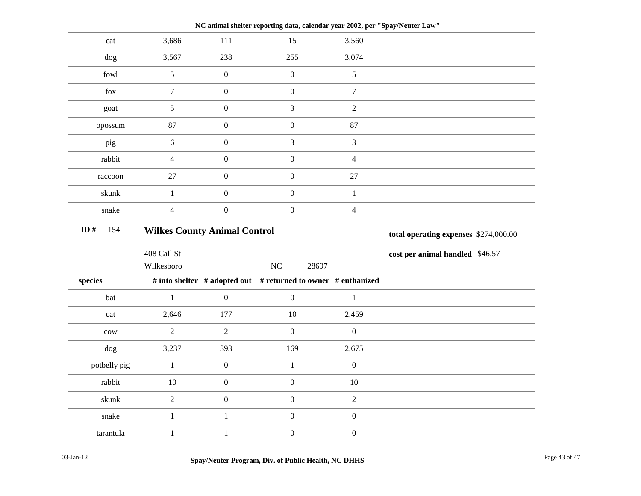| 3,686<br>3,560<br>111<br>15<br>cat<br>238<br>3,074<br>3,567<br>255<br>dog<br>fowl<br>$\boldsymbol{0}$<br>$\mathfrak{S}$<br>$\boldsymbol{0}$<br>$5\phantom{.0}$<br>fox<br>$\tau$<br>$\boldsymbol{0}$<br>$\boldsymbol{0}$<br>$\tau$<br>$\mathfrak{S}$<br>$\boldsymbol{0}$<br>3<br>$\overline{2}$<br>goat<br>87<br>$\boldsymbol{0}$<br>$87\,$<br>$\boldsymbol{0}$<br>opossum<br>$\overline{3}$<br>$\mathfrak{Z}$<br>$\sqrt{6}$<br>$\boldsymbol{0}$<br>pig<br>rabbit<br>$\overline{4}$<br>$\overline{4}$<br>$\boldsymbol{0}$<br>$\boldsymbol{0}$<br>$\boldsymbol{0}$<br>$\boldsymbol{0}$<br>$27\,$<br>$27\,$<br>raccoon<br>skunk<br>$\mathbf{1}$<br>$\boldsymbol{0}$<br>$\boldsymbol{0}$<br>$\mathbf{1}$<br>$\overline{4}$<br>$\boldsymbol{0}$<br>$\mathbf{0}$<br>$\overline{4}$<br>snake<br>ID#<br>154<br><b>Wilkes County Animal Control</b><br>total operating expenses \$274,000.00<br>408 Call St<br>cost per animal handled \$46.57<br><b>NC</b><br>Wilkesboro<br>28697<br># into shelter # adopted out # returned to owner # euthanized<br>$\mathbf{1}$<br>$\boldsymbol{0}$<br>$\mathbf{0}$<br>$\mathbf{1}$<br>bat<br>2,646<br>177<br>$10\,$<br>2,459<br>cat<br>$\overline{2}$<br>$\sqrt{2}$<br>$\boldsymbol{0}$<br>$\boldsymbol{0}$<br>${\rm\bf conv}$<br>169<br>2,675<br>3,237<br>393<br>dog<br>$\boldsymbol{0}$<br>$\boldsymbol{0}$<br>potbelly pig<br>$1\,$<br>$\mathbf{1}$<br>rabbit<br>$\boldsymbol{0}$<br>$\boldsymbol{0}$<br>$10\,$<br>$10\,$<br>skunk<br>$\overline{2}$<br>$\boldsymbol{0}$<br>$\boldsymbol{0}$<br>$\sqrt{2}$<br>$\boldsymbol{0}$<br>snake<br>$1\,$<br>$\mathbf{1}$<br>$\boldsymbol{0}$<br>$\boldsymbol{0}$<br>$\boldsymbol{0}$<br>tarantula<br>$\mathbf{1}$<br>$\mathbf{1}$ |  |  |  |
|----------------------------------------------------------------------------------------------------------------------------------------------------------------------------------------------------------------------------------------------------------------------------------------------------------------------------------------------------------------------------------------------------------------------------------------------------------------------------------------------------------------------------------------------------------------------------------------------------------------------------------------------------------------------------------------------------------------------------------------------------------------------------------------------------------------------------------------------------------------------------------------------------------------------------------------------------------------------------------------------------------------------------------------------------------------------------------------------------------------------------------------------------------------------------------------------------------------------------------------------------------------------------------------------------------------------------------------------------------------------------------------------------------------------------------------------------------------------------------------------------------------------------------------------------------------------------------------------------------------------------------------------------------------------------------------------------------|--|--|--|
| species                                                                                                                                                                                                                                                                                                                                                                                                                                                                                                                                                                                                                                                                                                                                                                                                                                                                                                                                                                                                                                                                                                                                                                                                                                                                                                                                                                                                                                                                                                                                                                                                                                                                                                  |  |  |  |
|                                                                                                                                                                                                                                                                                                                                                                                                                                                                                                                                                                                                                                                                                                                                                                                                                                                                                                                                                                                                                                                                                                                                                                                                                                                                                                                                                                                                                                                                                                                                                                                                                                                                                                          |  |  |  |
|                                                                                                                                                                                                                                                                                                                                                                                                                                                                                                                                                                                                                                                                                                                                                                                                                                                                                                                                                                                                                                                                                                                                                                                                                                                                                                                                                                                                                                                                                                                                                                                                                                                                                                          |  |  |  |
|                                                                                                                                                                                                                                                                                                                                                                                                                                                                                                                                                                                                                                                                                                                                                                                                                                                                                                                                                                                                                                                                                                                                                                                                                                                                                                                                                                                                                                                                                                                                                                                                                                                                                                          |  |  |  |
|                                                                                                                                                                                                                                                                                                                                                                                                                                                                                                                                                                                                                                                                                                                                                                                                                                                                                                                                                                                                                                                                                                                                                                                                                                                                                                                                                                                                                                                                                                                                                                                                                                                                                                          |  |  |  |
|                                                                                                                                                                                                                                                                                                                                                                                                                                                                                                                                                                                                                                                                                                                                                                                                                                                                                                                                                                                                                                                                                                                                                                                                                                                                                                                                                                                                                                                                                                                                                                                                                                                                                                          |  |  |  |
|                                                                                                                                                                                                                                                                                                                                                                                                                                                                                                                                                                                                                                                                                                                                                                                                                                                                                                                                                                                                                                                                                                                                                                                                                                                                                                                                                                                                                                                                                                                                                                                                                                                                                                          |  |  |  |
|                                                                                                                                                                                                                                                                                                                                                                                                                                                                                                                                                                                                                                                                                                                                                                                                                                                                                                                                                                                                                                                                                                                                                                                                                                                                                                                                                                                                                                                                                                                                                                                                                                                                                                          |  |  |  |
|                                                                                                                                                                                                                                                                                                                                                                                                                                                                                                                                                                                                                                                                                                                                                                                                                                                                                                                                                                                                                                                                                                                                                                                                                                                                                                                                                                                                                                                                                                                                                                                                                                                                                                          |  |  |  |
|                                                                                                                                                                                                                                                                                                                                                                                                                                                                                                                                                                                                                                                                                                                                                                                                                                                                                                                                                                                                                                                                                                                                                                                                                                                                                                                                                                                                                                                                                                                                                                                                                                                                                                          |  |  |  |
|                                                                                                                                                                                                                                                                                                                                                                                                                                                                                                                                                                                                                                                                                                                                                                                                                                                                                                                                                                                                                                                                                                                                                                                                                                                                                                                                                                                                                                                                                                                                                                                                                                                                                                          |  |  |  |
|                                                                                                                                                                                                                                                                                                                                                                                                                                                                                                                                                                                                                                                                                                                                                                                                                                                                                                                                                                                                                                                                                                                                                                                                                                                                                                                                                                                                                                                                                                                                                                                                                                                                                                          |  |  |  |
|                                                                                                                                                                                                                                                                                                                                                                                                                                                                                                                                                                                                                                                                                                                                                                                                                                                                                                                                                                                                                                                                                                                                                                                                                                                                                                                                                                                                                                                                                                                                                                                                                                                                                                          |  |  |  |
|                                                                                                                                                                                                                                                                                                                                                                                                                                                                                                                                                                                                                                                                                                                                                                                                                                                                                                                                                                                                                                                                                                                                                                                                                                                                                                                                                                                                                                                                                                                                                                                                                                                                                                          |  |  |  |
|                                                                                                                                                                                                                                                                                                                                                                                                                                                                                                                                                                                                                                                                                                                                                                                                                                                                                                                                                                                                                                                                                                                                                                                                                                                                                                                                                                                                                                                                                                                                                                                                                                                                                                          |  |  |  |
|                                                                                                                                                                                                                                                                                                                                                                                                                                                                                                                                                                                                                                                                                                                                                                                                                                                                                                                                                                                                                                                                                                                                                                                                                                                                                                                                                                                                                                                                                                                                                                                                                                                                                                          |  |  |  |
|                                                                                                                                                                                                                                                                                                                                                                                                                                                                                                                                                                                                                                                                                                                                                                                                                                                                                                                                                                                                                                                                                                                                                                                                                                                                                                                                                                                                                                                                                                                                                                                                                                                                                                          |  |  |  |
|                                                                                                                                                                                                                                                                                                                                                                                                                                                                                                                                                                                                                                                                                                                                                                                                                                                                                                                                                                                                                                                                                                                                                                                                                                                                                                                                                                                                                                                                                                                                                                                                                                                                                                          |  |  |  |
|                                                                                                                                                                                                                                                                                                                                                                                                                                                                                                                                                                                                                                                                                                                                                                                                                                                                                                                                                                                                                                                                                                                                                                                                                                                                                                                                                                                                                                                                                                                                                                                                                                                                                                          |  |  |  |
|                                                                                                                                                                                                                                                                                                                                                                                                                                                                                                                                                                                                                                                                                                                                                                                                                                                                                                                                                                                                                                                                                                                                                                                                                                                                                                                                                                                                                                                                                                                                                                                                                                                                                                          |  |  |  |
|                                                                                                                                                                                                                                                                                                                                                                                                                                                                                                                                                                                                                                                                                                                                                                                                                                                                                                                                                                                                                                                                                                                                                                                                                                                                                                                                                                                                                                                                                                                                                                                                                                                                                                          |  |  |  |
|                                                                                                                                                                                                                                                                                                                                                                                                                                                                                                                                                                                                                                                                                                                                                                                                                                                                                                                                                                                                                                                                                                                                                                                                                                                                                                                                                                                                                                                                                                                                                                                                                                                                                                          |  |  |  |
|                                                                                                                                                                                                                                                                                                                                                                                                                                                                                                                                                                                                                                                                                                                                                                                                                                                                                                                                                                                                                                                                                                                                                                                                                                                                                                                                                                                                                                                                                                                                                                                                                                                                                                          |  |  |  |
|                                                                                                                                                                                                                                                                                                                                                                                                                                                                                                                                                                                                                                                                                                                                                                                                                                                                                                                                                                                                                                                                                                                                                                                                                                                                                                                                                                                                                                                                                                                                                                                                                                                                                                          |  |  |  |

**NC animal shelter reporting data, calendar year 2002, per "Spay/Neuter Law"**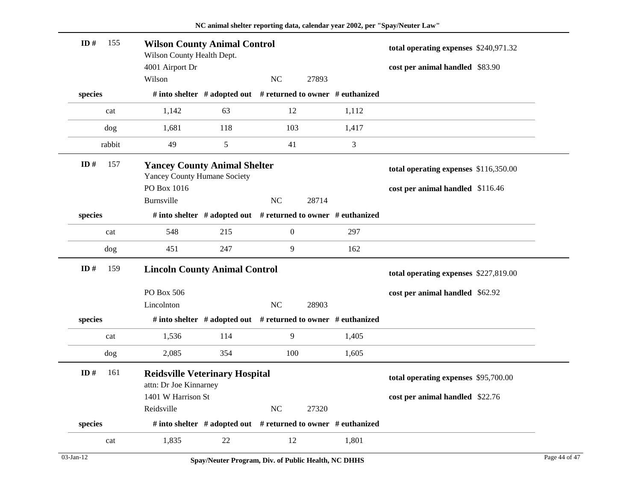| ID#     | 155    | <b>Wilson County Animal Control</b><br>Wilson County Health Dept.          |                                                               |                  |       |       | total operating expenses \$240,971.32 |  |
|---------|--------|----------------------------------------------------------------------------|---------------------------------------------------------------|------------------|-------|-------|---------------------------------------|--|
|         |        | 4001 Airport Dr<br>Wilson                                                  |                                                               | <b>NC</b>        | 27893 |       | cost per animal handled \$83.90       |  |
| species |        |                                                                            | # into shelter # adopted out # returned to owner # euthanized |                  |       |       |                                       |  |
|         |        |                                                                            |                                                               |                  |       |       |                                       |  |
|         | cat    | 1,142                                                                      | 63                                                            | 12               |       | 1,112 |                                       |  |
|         | dog    | 1,681                                                                      | 118                                                           | 103              |       | 1,417 |                                       |  |
|         | rabbit | 49                                                                         | 5                                                             | 41               |       | 3     |                                       |  |
| ID#     | 157    | <b>Yancey County Animal Shelter</b><br><b>Yancey County Humane Society</b> |                                                               |                  |       |       | total operating expenses \$116,350.00 |  |
|         |        | PO Box 1016                                                                |                                                               |                  |       |       | cost per animal handled \$116.46      |  |
|         |        | Burnsville                                                                 |                                                               | NC               | 28714 |       |                                       |  |
| species |        |                                                                            | # into shelter # adopted out # returned to owner # euthanized |                  |       |       |                                       |  |
|         | cat    | 548                                                                        | 215                                                           | $\boldsymbol{0}$ |       | 297   |                                       |  |
|         | dog    | 451                                                                        | 247                                                           | 9                |       | 162   |                                       |  |
| ID#     | 159    | <b>Lincoln County Animal Control</b>                                       |                                                               |                  |       |       | total operating expenses \$227,819.00 |  |
|         |        | PO Box 506                                                                 |                                                               |                  |       |       | cost per animal handled \$62.92       |  |
|         |        | Lincolnton                                                                 |                                                               | NC               | 28903 |       |                                       |  |
| species |        |                                                                            | # into shelter # adopted out # returned to owner # euthanized |                  |       |       |                                       |  |
|         | cat    | 1,536                                                                      | 114                                                           | 9                |       | 1,405 |                                       |  |
|         | dog    | 2,085                                                                      | 354                                                           | 100              |       | 1,605 |                                       |  |
| ID#     | 161    | <b>Reidsville Veterinary Hospital</b><br>attn: Dr Joe Kinnarney            |                                                               |                  |       |       | total operating expenses \$95,700.00  |  |
|         |        | 1401 W Harrison St                                                         |                                                               |                  |       |       | cost per animal handled \$22.76       |  |
|         |        | Reidsville                                                                 |                                                               | NC               | 27320 |       |                                       |  |
| species |        |                                                                            | # into shelter # adopted out # returned to owner # euthanized |                  |       |       |                                       |  |
|         | cat    | 1,835                                                                      | 22                                                            | 12               |       | 1,801 |                                       |  |
|         |        |                                                                            |                                                               |                  |       |       |                                       |  |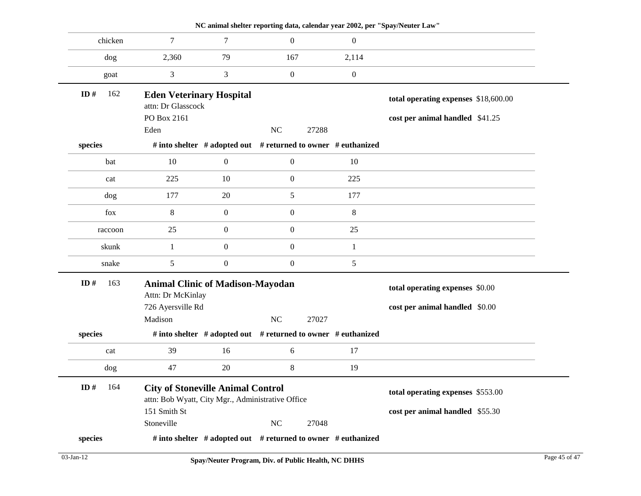|            |                                                                                               |                                                               |                  |       |                  | NC animal shelter reporting data, calendar year 2002, per "Spay/Neuter Law" |
|------------|-----------------------------------------------------------------------------------------------|---------------------------------------------------------------|------------------|-------|------------------|-----------------------------------------------------------------------------|
| chicken    | $\overline{7}$                                                                                | 7                                                             | $\boldsymbol{0}$ |       | $\mathbf{0}$     |                                                                             |
| dog        | 2,360                                                                                         | 79                                                            | 167              |       | 2,114            |                                                                             |
| goat       | 3                                                                                             | 3                                                             | $\boldsymbol{0}$ |       | $\boldsymbol{0}$ |                                                                             |
| 162<br>ID# | <b>Eden Veterinary Hospital</b><br>attn: Dr Glasscock                                         |                                                               |                  |       |                  | total operating expenses \$18,600.00                                        |
|            | PO Box 2161                                                                                   |                                                               |                  |       |                  | cost per animal handled \$41.25                                             |
|            | Eden                                                                                          |                                                               | NC               | 27288 |                  |                                                                             |
| species    |                                                                                               | # into shelter # adopted out # returned to owner # euthanized |                  |       |                  |                                                                             |
| bat        | 10                                                                                            | $\boldsymbol{0}$                                              | $\boldsymbol{0}$ |       | 10               |                                                                             |
| cat        | 225                                                                                           | 10                                                            | $\boldsymbol{0}$ |       | 225              |                                                                             |
| dog        | 177                                                                                           | 20                                                            | $\sqrt{5}$       |       | 177              |                                                                             |
| fox        | $8\phantom{.0}$                                                                               | $\boldsymbol{0}$                                              | $\boldsymbol{0}$ |       | $8\,$            |                                                                             |
| raccoon    | 25                                                                                            | $\boldsymbol{0}$                                              | $\boldsymbol{0}$ |       | 25               |                                                                             |
| skunk      | $\mathbf{1}$                                                                                  | $\boldsymbol{0}$                                              | $\boldsymbol{0}$ |       | $\mathbf{1}$     |                                                                             |
| snake      | 5                                                                                             | $\boldsymbol{0}$                                              | $\boldsymbol{0}$ |       | 5                |                                                                             |
| ID#<br>163 | <b>Animal Clinic of Madison-Mayodan</b><br>Attn: Dr McKinlay                                  |                                                               |                  |       |                  | total operating expenses \$0.00                                             |
|            | 726 Ayersville Rd                                                                             |                                                               |                  |       |                  | cost per animal handled \$0.00                                              |
|            | Madison                                                                                       |                                                               | <b>NC</b>        | 27027 |                  |                                                                             |
| species    |                                                                                               | # into shelter # adopted out # returned to owner # euthanized |                  |       |                  |                                                                             |
| cat        | 39                                                                                            | 16                                                            | 6                |       | 17               |                                                                             |
| dog        | 47                                                                                            | 20                                                            | $\,8\,$          |       | 19               |                                                                             |
| ID# 164    | <b>City of Stoneville Animal Control</b><br>attn: Bob Wyatt, City Mgr., Administrative Office |                                                               |                  |       |                  | total operating expenses \$553.00                                           |
|            | 151 Smith St                                                                                  |                                                               |                  |       |                  | cost per animal handled \$55.30                                             |
|            |                                                                                               |                                                               | <b>NC</b>        | 27048 |                  |                                                                             |
|            | Stoneville                                                                                    |                                                               |                  |       |                  |                                                                             |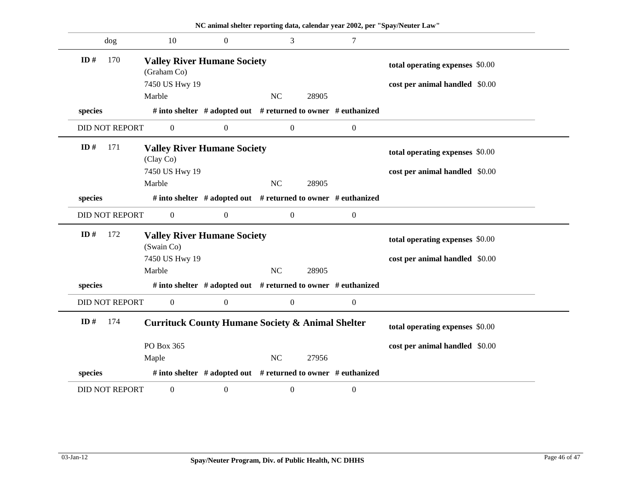|                       |                                                   |                  | NC animal shelter reporting data, calendar year 2002, per "Spay/Neuter Law" |                  |                                 |
|-----------------------|---------------------------------------------------|------------------|-----------------------------------------------------------------------------|------------------|---------------------------------|
| dog                   | 10                                                | $\boldsymbol{0}$ | 3                                                                           | 7                |                                 |
| 170<br>ID#            | <b>Valley River Humane Society</b><br>(Graham Co) |                  |                                                                             |                  | total operating expenses \$0.00 |
|                       | 7450 US Hwy 19                                    |                  |                                                                             |                  | cost per animal handled \$0.00  |
|                       | Marble                                            |                  | NC<br>28905                                                                 |                  |                                 |
| species               |                                                   |                  | # into shelter # adopted out # returned to owner # euthanized               |                  |                                 |
| <b>DID NOT REPORT</b> | $\boldsymbol{0}$                                  | $\boldsymbol{0}$ | $\boldsymbol{0}$                                                            | $\boldsymbol{0}$ |                                 |
| ID#<br>171            | <b>Valley River Humane Society</b><br>(Clay Co)   |                  |                                                                             |                  | total operating expenses \$0.00 |
|                       | 7450 US Hwy 19                                    |                  |                                                                             |                  | cost per animal handled \$0.00  |
|                       | Marble                                            |                  | $\rm NC$<br>28905                                                           |                  |                                 |
| species               |                                                   |                  | # into shelter # adopted out # returned to owner # euthanized               |                  |                                 |
| <b>DID NOT REPORT</b> | $\boldsymbol{0}$                                  | $\boldsymbol{0}$ | $\boldsymbol{0}$                                                            | $\boldsymbol{0}$ |                                 |
| ID#<br>172            | <b>Valley River Humane Society</b><br>(Swain Co)  |                  |                                                                             |                  | total operating expenses \$0.00 |
|                       | 7450 US Hwy 19                                    |                  |                                                                             |                  | cost per animal handled \$0.00  |
|                       | Marble                                            |                  | NC<br>28905                                                                 |                  |                                 |
| species               |                                                   |                  | # into shelter # adopted out # returned to owner # euthanized               |                  |                                 |
| <b>DID NOT REPORT</b> | $\boldsymbol{0}$                                  | $\boldsymbol{0}$ | $\boldsymbol{0}$                                                            | $\boldsymbol{0}$ |                                 |
| ID#<br>174            |                                                   |                  | <b>Currituck County Humane Society &amp; Animal Shelter</b>                 |                  | total operating expenses \$0.00 |
|                       | PO Box 365                                        |                  |                                                                             |                  | cost per animal handled \$0.00  |
|                       | Maple                                             |                  | NC<br>27956                                                                 |                  |                                 |
| species               |                                                   |                  | # into shelter $#$ adopted out $#$ returned to owner $#$ euthanized         |                  |                                 |
| <b>DID NOT REPORT</b> | $\boldsymbol{0}$                                  | $\boldsymbol{0}$ | $\boldsymbol{0}$                                                            | $\boldsymbol{0}$ |                                 |